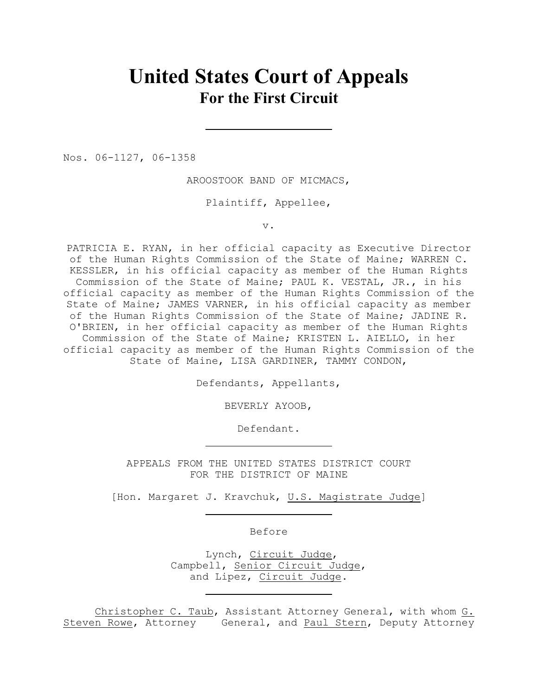# **United States Court of Appeals For the First Circuit**

Nos. 06-1127, 06-1358

AROOSTOOK BAND OF MICMACS,

Plaintiff, Appellee,

v.

PATRICIA E. RYAN, in her official capacity as Executive Director of the Human Rights Commission of the State of Maine; WARREN C. KESSLER, in his official capacity as member of the Human Rights Commission of the State of Maine; PAUL K. VESTAL, JR., in his official capacity as member of the Human Rights Commission of the State of Maine; JAMES VARNER, in his official capacity as member of the Human Rights Commission of the State of Maine; JADINE R. O'BRIEN, in her official capacity as member of the Human Rights Commission of the State of Maine; KRISTEN L. AIELLO, in her official capacity as member of the Human Rights Commission of the State of Maine, LISA GARDINER, TAMMY CONDON,

Defendants, Appellants,

BEVERLY AYOOB,

Defendant.

APPEALS FROM THE UNITED STATES DISTRICT COURT FOR THE DISTRICT OF MAINE

[Hon. Margaret J. Kravchuk, U.S. Magistrate Judge]

Before

 Lynch, Circuit Judge, Campbell, Senior Circuit Judge, and Lipez, Circuit Judge.

Christopher C. Taub, Assistant Attorney General, with whom G. Steven Rowe, Attorney General, and Paul Stern, Deputy Attorney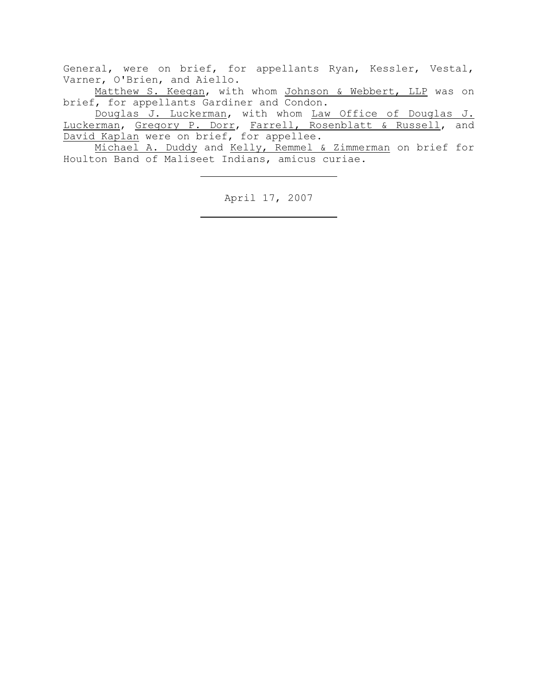General, were on brief, for appellants Ryan, Kessler, Vestal, Varner, O'Brien, and Aiello.

Matthew S. Keegan, with whom Johnson & Webbert, LLP was on brief, for appellants Gardiner and Condon.

Douglas J. Luckerman, with whom Law Office of Douglas J. Luckerman, Gregory P. Dorr, Farrell, Rosenblatt & Russell, and David Kaplan were on brief, for appellee.

Michael A. Duddy and Kelly, Remmel & Zimmerman on brief for Houlton Band of Maliseet Indians, amicus curiae.

April 17, 2007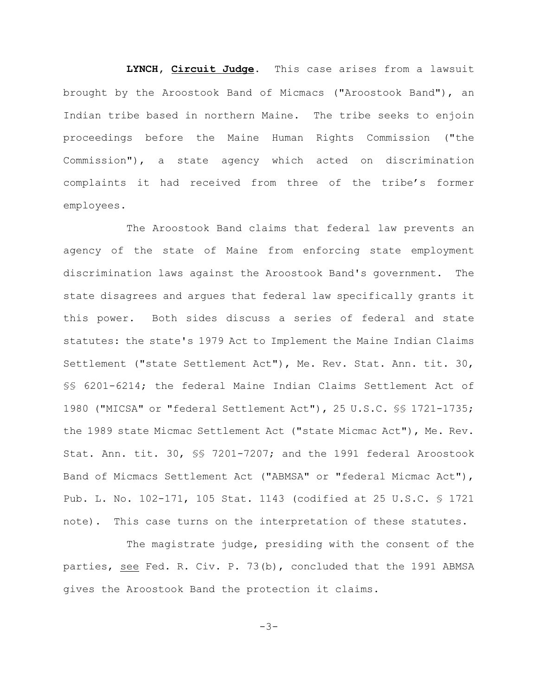**LYNCH, Circuit Judge**. This case arises from a lawsuit brought by the Aroostook Band of Micmacs ("Aroostook Band"), an Indian tribe based in northern Maine. The tribe seeks to enjoin proceedings before the Maine Human Rights Commission ("the Commission"), a state agency which acted on discrimination complaints it had received from three of the tribe's former employees.

The Aroostook Band claims that federal law prevents an agency of the state of Maine from enforcing state employment discrimination laws against the Aroostook Band's government. The state disagrees and argues that federal law specifically grants it this power. Both sides discuss a series of federal and state statutes: the state's 1979 Act to Implement the Maine Indian Claims Settlement ("state Settlement Act"), Me. Rev. Stat. Ann. tit. 30, §§ 6201-6214; the federal Maine Indian Claims Settlement Act of 1980 ("MICSA" or "federal Settlement Act"), 25 U.S.C. §§ 1721-1735; the 1989 state Micmac Settlement Act ("state Micmac Act"), Me. Rev. Stat. Ann. tit. 30, §§ 7201-7207; and the 1991 federal Aroostook Band of Micmacs Settlement Act ("ABMSA" or "federal Micmac Act"), Pub. L. No. 102-171, 105 Stat. 1143 (codified at 25 U.S.C. § 1721 note). This case turns on the interpretation of these statutes.

The magistrate judge, presiding with the consent of the parties, see Fed. R. Civ. P. 73(b), concluded that the 1991 ABMSA gives the Aroostook Band the protection it claims.

-3-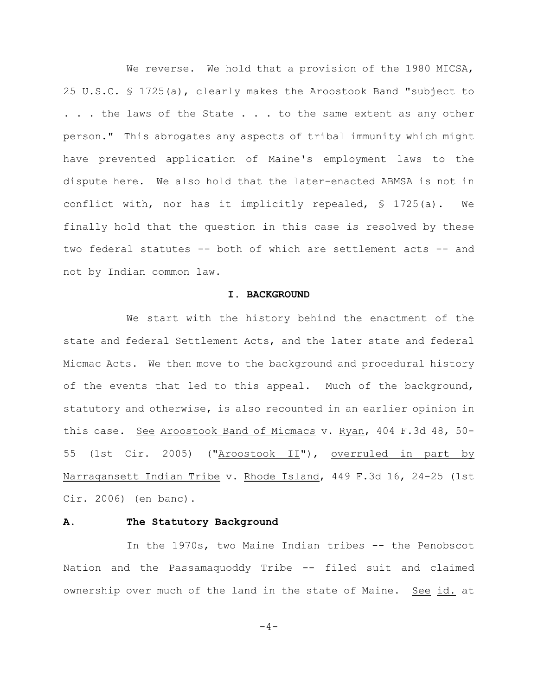We reverse. We hold that a provision of the 1980 MICSA, 25 U.S.C. § 1725(a), clearly makes the Aroostook Band "subject to ... the laws of the State ... to the same extent as any other person." This abrogates any aspects of tribal immunity which might have prevented application of Maine's employment laws to the dispute here. We also hold that the later-enacted ABMSA is not in conflict with, nor has it implicitly repealed, § 1725(a). We finally hold that the question in this case is resolved by these two federal statutes -- both of which are settlement acts -- and not by Indian common law.

## **I. BACKGROUND**

We start with the history behind the enactment of the state and federal Settlement Acts, and the later state and federal Micmac Acts. We then move to the background and procedural history of the events that led to this appeal. Much of the background, statutory and otherwise, is also recounted in an earlier opinion in this case. See Aroostook Band of Micmacs v. Ryan, 404 F.3d 48, 50- 55 (1st Cir. 2005) ("Aroostook II"), overruled in part by Narragansett Indian Tribe v. Rhode Island, 449 F.3d 16, 24-25 (1st Cir. 2006) (en banc).

## **A. The Statutory Background**

In the 1970s, two Maine Indian tribes -- the Penobscot Nation and the Passamaquoddy Tribe -- filed suit and claimed ownership over much of the land in the state of Maine. See id. at

 $-4-$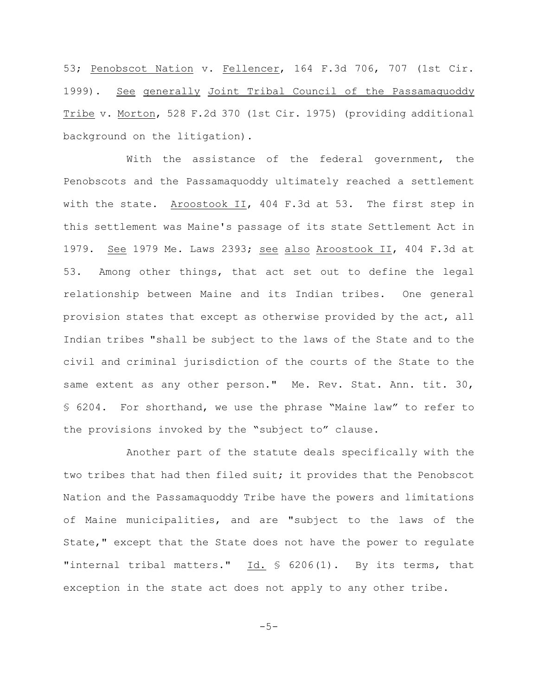53; Penobscot Nation v. Fellencer, 164 F.3d 706, 707 (1st Cir. 1999). See generally Joint Tribal Council of the Passamaquoddy Tribe v. Morton, 528 F.2d 370 (1st Cir. 1975) (providing additional background on the litigation).

With the assistance of the federal government, the Penobscots and the Passamaquoddy ultimately reached a settlement with the state. Aroostook II, 404 F.3d at 53. The first step in this settlement was Maine's passage of its state Settlement Act in 1979. See 1979 Me. Laws 2393; see also Aroostook II, 404 F.3d at 53. Among other things, that act set out to define the legal relationship between Maine and its Indian tribes. One general provision states that except as otherwise provided by the act, all Indian tribes "shall be subject to the laws of the State and to the civil and criminal jurisdiction of the courts of the State to the same extent as any other person." Me. Rev. Stat. Ann. tit. 30, § 6204. For shorthand, we use the phrase "Maine law" to refer to the provisions invoked by the "subject to" clause.

Another part of the statute deals specifically with the two tribes that had then filed suit; it provides that the Penobscot Nation and the Passamaquoddy Tribe have the powers and limitations of Maine municipalities, and are "subject to the laws of the State," except that the State does not have the power to regulate "internal tribal matters." Id. § 6206(1). By its terms, that exception in the state act does not apply to any other tribe.

$$
-5-
$$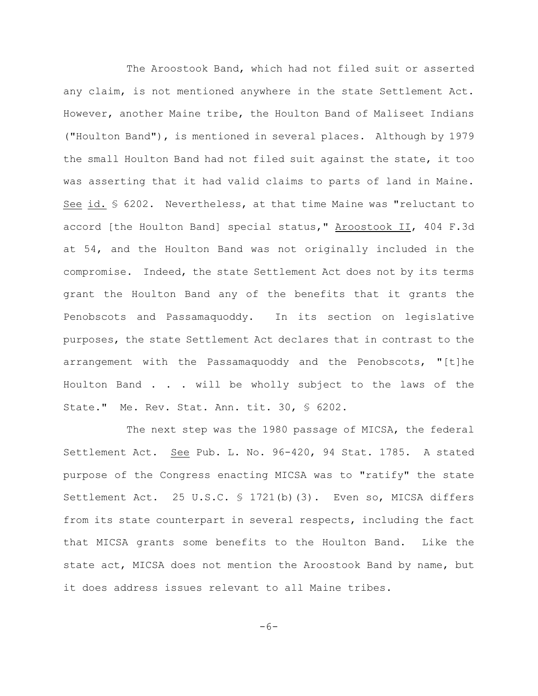The Aroostook Band, which had not filed suit or asserted any claim, is not mentioned anywhere in the state Settlement Act. However, another Maine tribe, the Houlton Band of Maliseet Indians ("Houlton Band"), is mentioned in several places. Although by 1979 the small Houlton Band had not filed suit against the state, it too was asserting that it had valid claims to parts of land in Maine. See id. § 6202. Nevertheless, at that time Maine was "reluctant to accord [the Houlton Band] special status," Aroostook II, 404 F.3d at 54, and the Houlton Band was not originally included in the compromise. Indeed, the state Settlement Act does not by its terms grant the Houlton Band any of the benefits that it grants the Penobscots and Passamaquoddy. In its section on legislative purposes, the state Settlement Act declares that in contrast to the arrangement with the Passamaquoddy and the Penobscots, "[t]he Houlton Band . . . will be wholly subject to the laws of the State." Me. Rev. Stat. Ann. tit. 30, § 6202.

The next step was the 1980 passage of MICSA, the federal Settlement Act. See Pub. L. No. 96-420, 94 Stat. 1785. A stated purpose of the Congress enacting MICSA was to "ratify" the state Settlement Act. 25 U.S.C. § 1721(b)(3). Even so, MICSA differs from its state counterpart in several respects, including the fact that MICSA grants some benefits to the Houlton Band. Like the state act, MICSA does not mention the Aroostook Band by name, but it does address issues relevant to all Maine tribes.

 $-6-$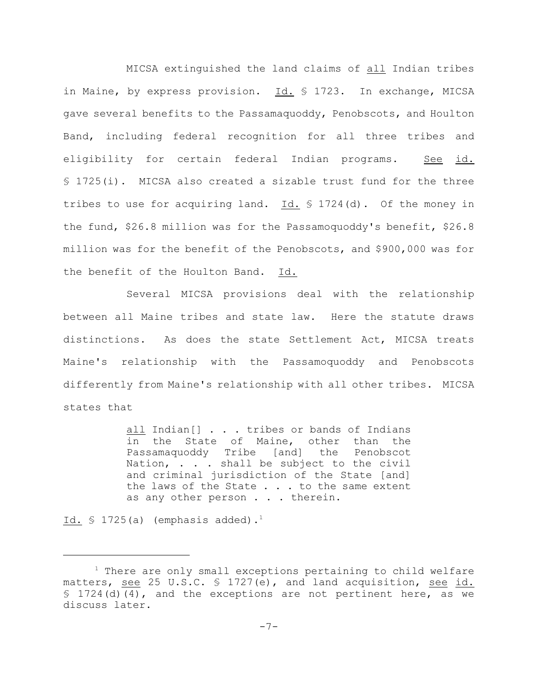MICSA extinguished the land claims of all Indian tribes in Maine, by express provision. Id. § 1723. In exchange, MICSA gave several benefits to the Passamaquoddy, Penobscots, and Houlton Band, including federal recognition for all three tribes and eligibility for certain federal Indian programs. See id. § 1725(i). MICSA also created a sizable trust fund for the three tribes to use for acquiring land. Id. § 1724(d). Of the money in the fund, \$26.8 million was for the Passamoquoddy's benefit, \$26.8 million was for the benefit of the Penobscots, and \$900,000 was for the benefit of the Houlton Band. Id.

Several MICSA provisions deal with the relationship between all Maine tribes and state law. Here the statute draws distinctions. As does the state Settlement Act, MICSA treats Maine's relationship with the Passamoquoddy and Penobscots differently from Maine's relationship with all other tribes. MICSA states that

> all Indian[] . . . tribes or bands of Indians in the State of Maine, other than the Passamaquoddy Tribe [and] the Penobscot Nation, . . . shall be subject to the civil and criminal jurisdiction of the State [and] the laws of the State . . . to the same extent as any other person . . . therein.

Id.  $\$$  1725(a) (emphasis added).<sup>1</sup>

 $1$  There are only small exceptions pertaining to child welfare matters, see 25 U.S.C.  $\frac{1727}{e}$ , and land acquisition, see id. § 1724(d)(4), and the exceptions are not pertinent here, as we discuss later.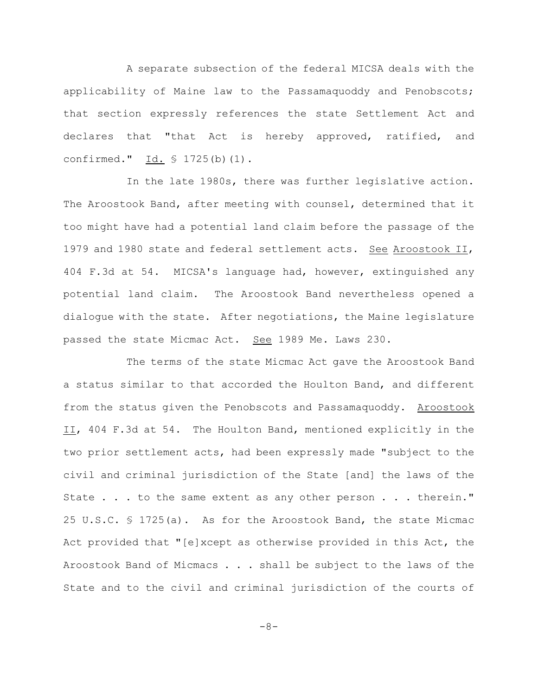A separate subsection of the federal MICSA deals with the applicability of Maine law to the Passamaquoddy and Penobscots; that section expressly references the state Settlement Act and declares that "that Act is hereby approved, ratified, and confirmed." Id. § 1725(b)(1).

In the late 1980s, there was further legislative action. The Aroostook Band, after meeting with counsel, determined that it too might have had a potential land claim before the passage of the 1979 and 1980 state and federal settlement acts. See Aroostook II, 404 F.3d at 54. MICSA's language had, however, extinguished any potential land claim. The Aroostook Band nevertheless opened a dialogue with the state. After negotiations, the Maine legislature passed the state Micmac Act. See 1989 Me. Laws 230.

The terms of the state Micmac Act gave the Aroostook Band a status similar to that accorded the Houlton Band, and different from the status given the Penobscots and Passamaquoddy. Aroostook II, 404 F.3d at 54. The Houlton Band, mentioned explicitly in the two prior settlement acts, had been expressly made "subject to the civil and criminal jurisdiction of the State [and] the laws of the State . . . to the same extent as any other person . . . therein." 25 U.S.C. § 1725(a). As for the Aroostook Band, the state Micmac Act provided that "[e]xcept as otherwise provided in this Act, the Aroostook Band of Micmacs . . . shall be subject to the laws of the State and to the civil and criminal jurisdiction of the courts of

-8-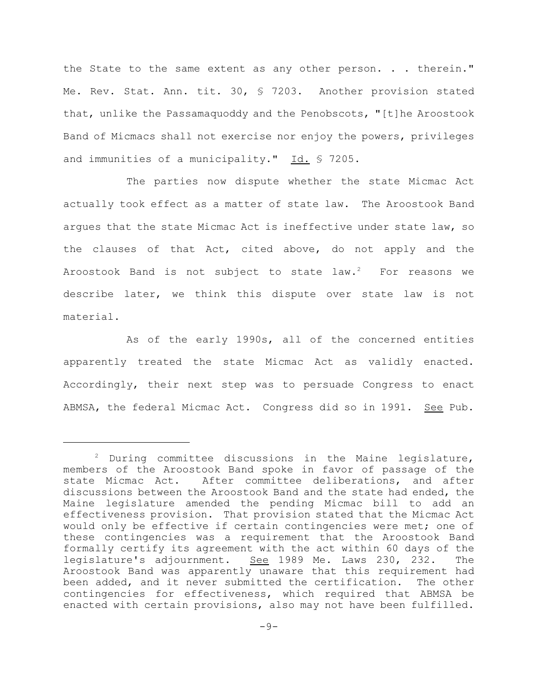the State to the same extent as any other person. . . therein." Me. Rev. Stat. Ann. tit. 30, § 7203. Another provision stated that, unlike the Passamaquoddy and the Penobscots, "[t]he Aroostook Band of Micmacs shall not exercise nor enjoy the powers, privileges and immunities of a municipality." Id. § 7205.

The parties now dispute whether the state Micmac Act actually took effect as a matter of state law. The Aroostook Band argues that the state Micmac Act is ineffective under state law, so the clauses of that Act, cited above, do not apply and the Aroostook Band is not subject to state  $law.^2$  For reasons we describe later, we think this dispute over state law is not material.

As of the early 1990s, all of the concerned entities apparently treated the state Micmac Act as validly enacted. Accordingly, their next step was to persuade Congress to enact ABMSA, the federal Micmac Act. Congress did so in 1991. See Pub.

 $2$  During committee discussions in the Maine legislature, members of the Aroostook Band spoke in favor of passage of the state Micmac Act. After committee deliberations, and after discussions between the Aroostook Band and the state had ended, the Maine legislature amended the pending Micmac bill to add an effectiveness provision. That provision stated that the Micmac Act would only be effective if certain contingencies were met; one of these contingencies was a requirement that the Aroostook Band formally certify its agreement with the act within 60 days of the legislature's adjournment. See 1989 Me. Laws 230, 232. The Aroostook Band was apparently unaware that this requirement had been added, and it never submitted the certification. The other contingencies for effectiveness, which required that ABMSA be enacted with certain provisions, also may not have been fulfilled.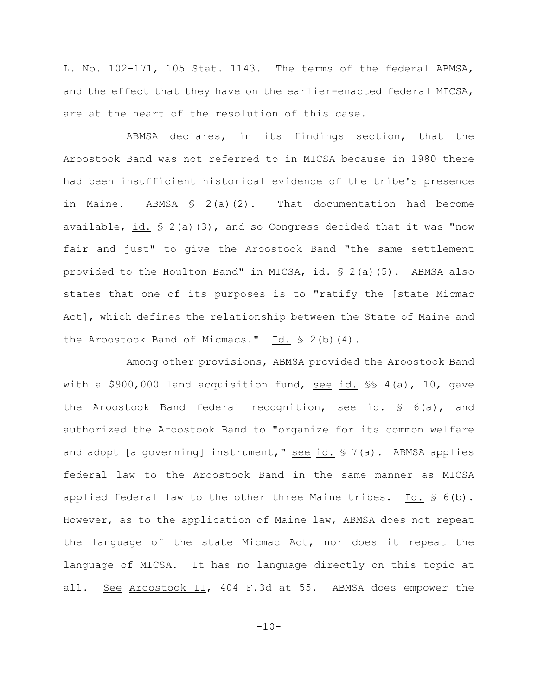L. No. 102-171, 105 Stat. 1143. The terms of the federal ABMSA, and the effect that they have on the earlier-enacted federal MICSA, are at the heart of the resolution of this case.

ABMSA declares, in its findings section, that the Aroostook Band was not referred to in MICSA because in 1980 there had been insufficient historical evidence of the tribe's presence in Maine. ABMSA  $\leq 2(a)(2)$ . That documentation had become available,  $id. \$   $2(a)(3)$ , and so Congress decided that it was "now fair and just" to give the Aroostook Band "the same settlement provided to the Houlton Band" in MICSA, id. § 2(a)(5). ABMSA also states that one of its purposes is to "ratify the [state Micmac Act], which defines the relationship between the State of Maine and the Aroostook Band of Micmacs."  $\underline{Id.}$  § 2(b)(4).

Among other provisions, ABMSA provided the Aroostook Band with a \$900,000 land acquisition fund, see id. §§ 4(a), 10, gave the Aroostook Band federal recognition, see id. § 6(a), and authorized the Aroostook Band to "organize for its common welfare and adopt [a governing] instrument," see id.  $\frac{1}{2}$  7(a). ABMSA applies federal law to the Aroostook Band in the same manner as MICSA applied federal law to the other three Maine tribes.  $Id. \S 6(b)$ . However, as to the application of Maine law, ABMSA does not repeat the language of the state Micmac Act, nor does it repeat the language of MICSA. It has no language directly on this topic at all. See Aroostook II, 404 F.3d at 55. ABMSA does empower the

 $-10-$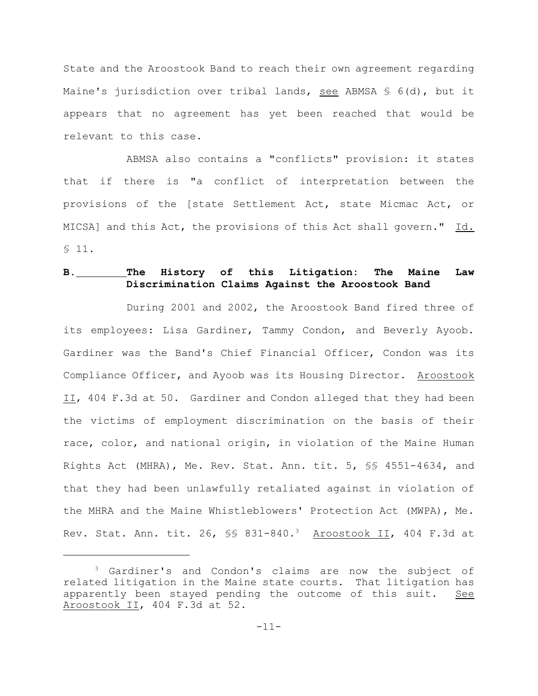State and the Aroostook Band to reach their own agreement regarding Maine's jurisdiction over tribal lands, see ABMSA  $S$  6(d), but it appears that no agreement has yet been reached that would be relevant to this case.

ABMSA also contains a "conflicts" provision: it states that if there is "a conflict of interpretation between the provisions of the [state Settlement Act, state Micmac Act, or MICSA] and this Act, the provisions of this Act shall govern." Id. § 11.

# **B. The History of this Litigation: The Maine Law Discrimination Claims Against the Aroostook Band**

During 2001 and 2002, the Aroostook Band fired three of its employees: Lisa Gardiner, Tammy Condon, and Beverly Ayoob. Gardiner was the Band's Chief Financial Officer, Condon was its Compliance Officer, and Ayoob was its Housing Director. Aroostook II, 404 F.3d at 50. Gardiner and Condon alleged that they had been the victims of employment discrimination on the basis of their race, color, and national origin, in violation of the Maine Human Rights Act (MHRA), Me. Rev. Stat. Ann. tit. 5, §§ 4551-4634, and that they had been unlawfully retaliated against in violation of the MHRA and the Maine Whistleblowers' Protection Act (MWPA), Me. Rev. Stat. Ann. tit. 26, §§ 831-840.<sup>3</sup> Aroostook II, 404 F.3d at

 $3$  Gardiner's and Condon's claims are now the subject of related litigation in the Maine state courts. That litigation has apparently been stayed pending the outcome of this suit. See Aroostook II, 404 F.3d at 52.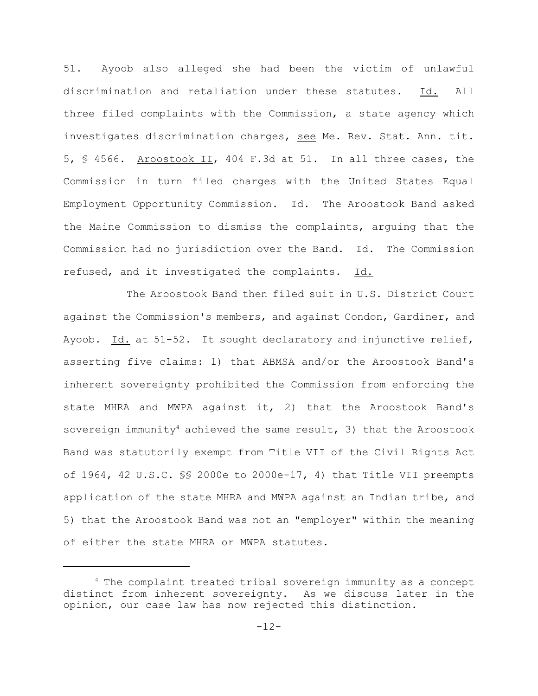51. Ayoob also alleged she had been the victim of unlawful discrimination and retaliation under these statutes. Id. All three filed complaints with the Commission, a state agency which investigates discrimination charges, see Me. Rev. Stat. Ann. tit. 5, § 4566. Aroostook II, 404 F.3d at 51. In all three cases, the Commission in turn filed charges with the United States Equal Employment Opportunity Commission. Id. The Aroostook Band asked the Maine Commission to dismiss the complaints, arguing that the Commission had no jurisdiction over the Band. Id. The Commission refused, and it investigated the complaints. Id.

The Aroostook Band then filed suit in U.S. District Court against the Commission's members, and against Condon, Gardiner, and Ayoob. Id. at 51-52. It sought declaratory and injunctive relief, asserting five claims: 1) that ABMSA and/or the Aroostook Band's inherent sovereignty prohibited the Commission from enforcing the state MHRA and MWPA against it, 2) that the Aroostook Band's sovereign immunity<sup>4</sup> achieved the same result, 3) that the Aroostook Band was statutorily exempt from Title VII of the Civil Rights Act of 1964, 42 U.S.C.  $\S$  2000e to 2000e-17, 4) that Title VII preempts application of the state MHRA and MWPA against an Indian tribe, and 5) that the Aroostook Band was not an "employer" within the meaning of either the state MHRA or MWPA statutes.

 $4$  The complaint treated tribal sovereign immunity as a concept distinct from inherent sovereignty. As we discuss later in the opinion, our case law has now rejected this distinction.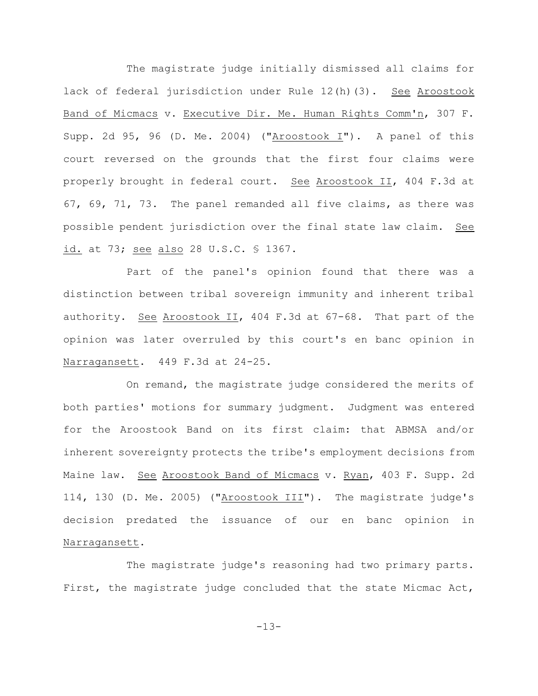The magistrate judge initially dismissed all claims for lack of federal jurisdiction under Rule 12(h)(3). See Aroostook Band of Micmacs v. Executive Dir. Me. Human Rights Comm'n, 307 F. Supp. 2d 95, 96 (D. Me. 2004) ("Aroostook I"). A panel of this court reversed on the grounds that the first four claims were properly brought in federal court. See Aroostook II, 404 F.3d at 67, 69, 71, 73. The panel remanded all five claims, as there was possible pendent jurisdiction over the final state law claim. See id. at 73; see also 28 U.S.C. § 1367.

Part of the panel's opinion found that there was a distinction between tribal sovereign immunity and inherent tribal authority. See Aroostook II, 404 F.3d at 67-68. That part of the opinion was later overruled by this court's en banc opinion in Narragansett. 449 F.3d at 24-25.

On remand, the magistrate judge considered the merits of both parties' motions for summary judgment. Judgment was entered for the Aroostook Band on its first claim: that ABMSA and/or inherent sovereignty protects the tribe's employment decisions from Maine law. See Aroostook Band of Micmacs v. Ryan, 403 F. Supp. 2d 114, 130 (D. Me. 2005) ("Aroostook III"). The magistrate judge's decision predated the issuance of our en banc opinion in Narragansett.

The magistrate judge's reasoning had two primary parts. First, the magistrate judge concluded that the state Micmac Act,

-13-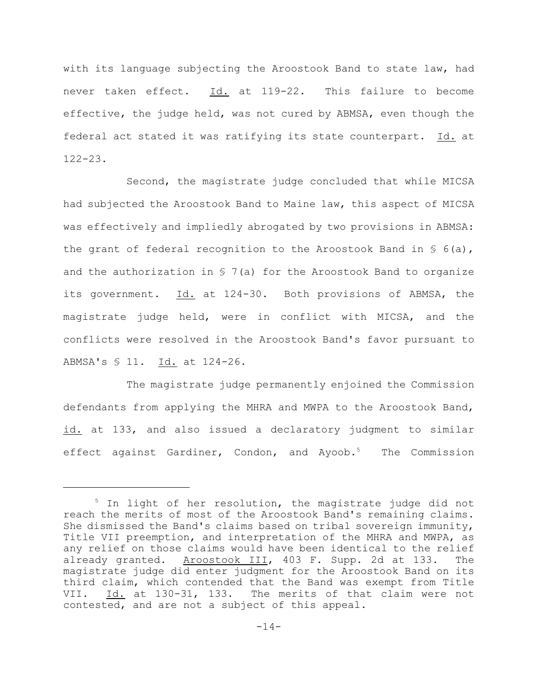with its language subjecting the Aroostook Band to state law, had never taken effect. Id. at 119-22. This failure to become effective, the judge held, was not cured by ABMSA, even though the federal act stated it was ratifying its state counterpart. Id. at 122-23.

Second, the magistrate judge concluded that while MICSA had subjected the Aroostook Band to Maine law, this aspect of MICSA was effectively and impliedly abrogated by two provisions in ABMSA: the grant of federal recognition to the Aroostook Band in  $\S$  6(a), and the authorization in  $S$  7(a) for the Aroostook Band to organize its government. Id. at 124-30. Both provisions of ABMSA, the magistrate judge held, were in conflict with MICSA, and the conflicts were resolved in the Aroostook Band's favor pursuant to ABMSA's § 11. Id. at 124-26.

The magistrate judge permanently enjoined the Commission defendants from applying the MHRA and MWPA to the Aroostook Band, id. at 133, and also issued a declaratory judgment to similar effect against Gardiner, Condon, and Ayoob.<sup>5</sup> The Commission

 $5$  In light of her resolution, the magistrate judge did not reach the merits of most of the Aroostook Band's remaining claims. She dismissed the Band's claims based on tribal sovereign immunity, Title VII preemption, and interpretation of the MHRA and MWPA, as any relief on those claims would have been identical to the relief already granted. Aroostook III, 403 F. Supp. 2d at 133. The magistrate judge did enter judgment for the Aroostook Band on its third claim, which contended that the Band was exempt from Title VII. Id. at 130-31, 133. The merits of that claim were not contested, and are not a subject of this appeal.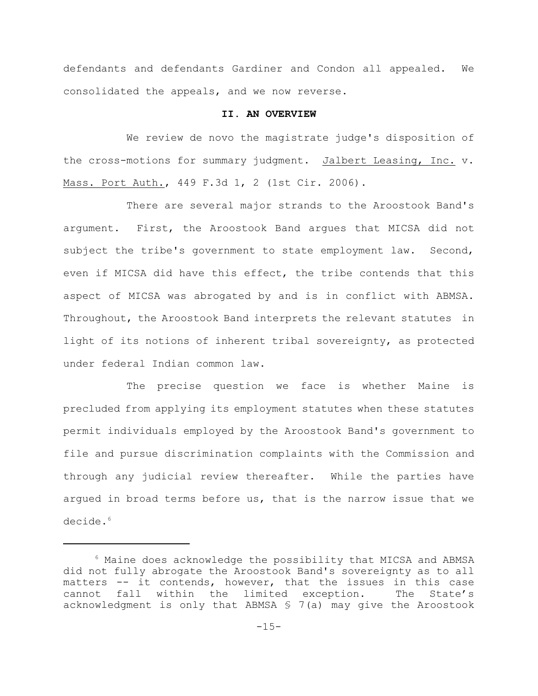defendants and defendants Gardiner and Condon all appealed. We consolidated the appeals, and we now reverse.

#### **II. AN OVERVIEW**

We review de novo the magistrate judge's disposition of the cross-motions for summary judgment. Jalbert Leasing, Inc. v. Mass. Port Auth., 449 F.3d 1, 2 (1st Cir. 2006).

There are several major strands to the Aroostook Band's argument. First, the Aroostook Band argues that MICSA did not subject the tribe's government to state employment law. Second, even if MICSA did have this effect, the tribe contends that this aspect of MICSA was abrogated by and is in conflict with ABMSA. Throughout, the Aroostook Band interprets the relevant statutes in light of its notions of inherent tribal sovereignty, as protected under federal Indian common law.

The precise question we face is whether Maine is precluded from applying its employment statutes when these statutes permit individuals employed by the Aroostook Band's government to file and pursue discrimination complaints with the Commission and through any judicial review thereafter. While the parties have argued in broad terms before us, that is the narrow issue that we decide.<sup>6</sup>

 $6$  Maine does acknowledge the possibility that MICSA and ABMSA did not fully abrogate the Aroostook Band's sovereignty as to all matters -- it contends, however, that the issues in this case cannot fall within the limited exception. The State's acknowledgment is only that ABMSA § 7(a) may give the Aroostook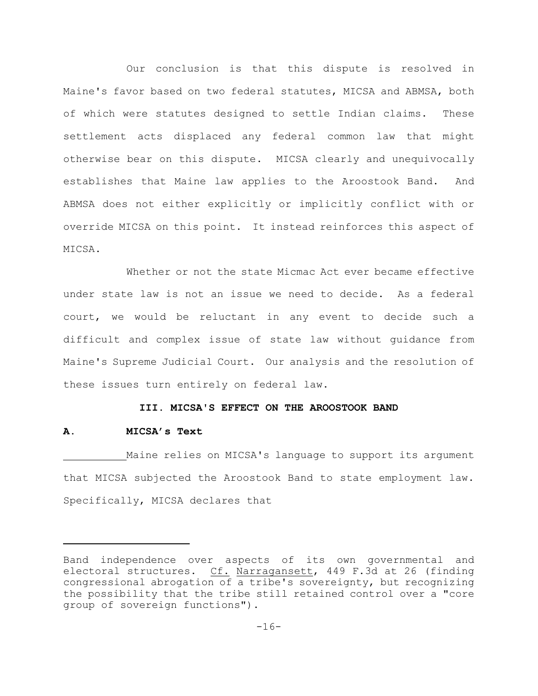Our conclusion is that this dispute is resolved in Maine's favor based on two federal statutes, MICSA and ABMSA, both of which were statutes designed to settle Indian claims. These settlement acts displaced any federal common law that might otherwise bear on this dispute. MICSA clearly and unequivocally establishes that Maine law applies to the Aroostook Band. And ABMSA does not either explicitly or implicitly conflict with or override MICSA on this point. It instead reinforces this aspect of MICSA.

Whether or not the state Micmac Act ever became effective under state law is not an issue we need to decide. As a federal court, we would be reluctant in any event to decide such a difficult and complex issue of state law without guidance from Maine's Supreme Judicial Court. Our analysis and the resolution of these issues turn entirely on federal law.

## **III. MICSA'S EFFECT ON THE AROOSTOOK BAND**

#### **A. MICSA's Text**

Maine relies on MICSA's language to support its argument that MICSA subjected the Aroostook Band to state employment law. Specifically, MICSA declares that

Band independence over aspects of its own governmental and electoral structures. Cf. Narragansett, 449 F.3d at 26 (finding congressional abrogation of a tribe's sovereignty, but recognizing the possibility that the tribe still retained control over a "core group of sovereign functions").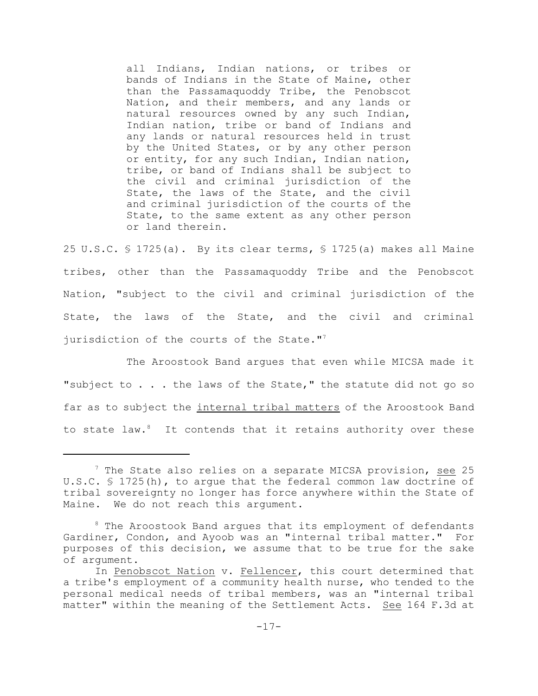all Indians, Indian nations, or tribes or bands of Indians in the State of Maine, other than the Passamaquoddy Tribe, the Penobscot Nation, and their members, and any lands or natural resources owned by any such Indian, Indian nation, tribe or band of Indians and any lands or natural resources held in trust by the United States, or by any other person or entity, for any such Indian, Indian nation, tribe, or band of Indians shall be subject to the civil and criminal jurisdiction of the State, the laws of the State, and the civil and criminal jurisdiction of the courts of the State, to the same extent as any other person or land therein.

25 U.S.C.  $\frac{1725}{a}$ . By its clear terms,  $\frac{1725}{a}$  makes all Maine tribes, other than the Passamaquoddy Tribe and the Penobscot Nation, "subject to the civil and criminal jurisdiction of the State, the laws of the State, and the civil and criminal jurisdiction of the courts of the State."<sup>7</sup>

The Aroostook Band argues that even while MICSA made it "subject to . . . the laws of the State," the statute did not go so far as to subject the internal tribal matters of the Aroostook Band to state law. $8$  It contends that it retains authority over these

 $7$  The State also relies on a separate MICSA provision, see 25 U.S.C. § 1725(h), to argue that the federal common law doctrine of tribal sovereignty no longer has force anywhere within the State of Maine. We do not reach this argument.

 $8$  The Aroostook Band argues that its employment of defendants Gardiner, Condon, and Ayoob was an "internal tribal matter." For purposes of this decision, we assume that to be true for the sake of argument.

In Penobscot Nation v. Fellencer, this court determined that a tribe's employment of a community health nurse, who tended to the personal medical needs of tribal members, was an "internal tribal matter" within the meaning of the Settlement Acts. See 164 F.3d at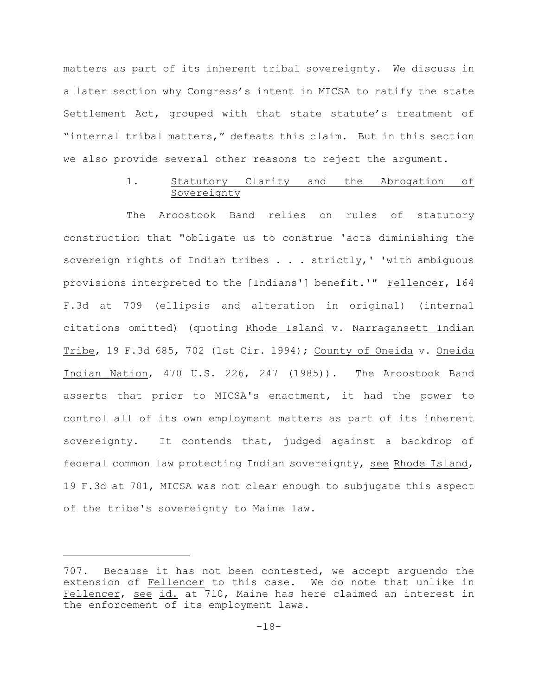matters as part of its inherent tribal sovereignty. We discuss in a later section why Congress's intent in MICSA to ratify the state Settlement Act, grouped with that state statute's treatment of "internal tribal matters," defeats this claim. But in this section we also provide several other reasons to reject the argument.

# 1. Statutory Clarity and the Abrogation of Sovereignty

The Aroostook Band relies on rules of statutory construction that "obligate us to construe 'acts diminishing the sovereign rights of Indian tribes . . . strictly, ' 'with ambiguous provisions interpreted to the [Indians'] benefit.'" Fellencer, 164 F.3d at 709 (ellipsis and alteration in original) (internal citations omitted) (quoting Rhode Island v. Narragansett Indian Tribe, 19 F.3d 685, 702 (1st Cir. 1994); County of Oneida v. Oneida Indian Nation, 470 U.S. 226, 247 (1985)). The Aroostook Band asserts that prior to MICSA's enactment, it had the power to control all of its own employment matters as part of its inherent sovereignty. It contends that, judged against a backdrop of federal common law protecting Indian sovereignty, see Rhode Island, 19 F.3d at 701, MICSA was not clear enough to subjugate this aspect of the tribe's sovereignty to Maine law.

<sup>707.</sup> Because it has not been contested, we accept arguendo the extension of Fellencer to this case. We do note that unlike in Fellencer, see id. at 710, Maine has here claimed an interest in the enforcement of its employment laws.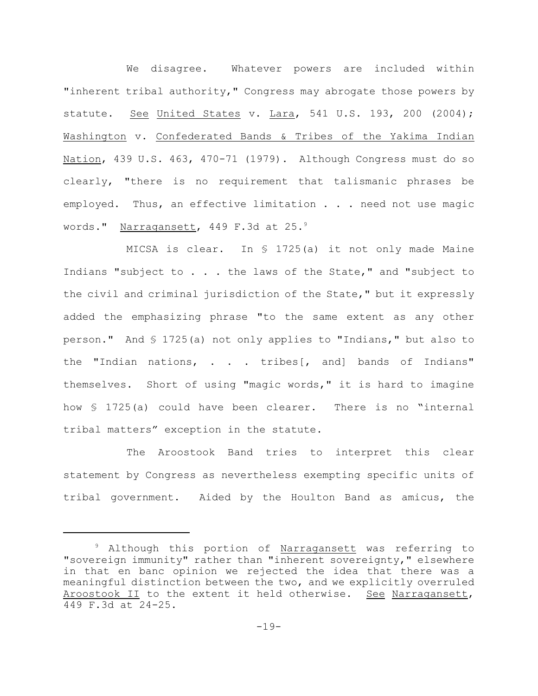We disagree. Whatever powers are included within "inherent tribal authority," Congress may abrogate those powers by statute. See United States v. Lara, 541 U.S. 193, 200 (2004); Washington v. Confederated Bands & Tribes of the Yakima Indian Nation, 439 U.S. 463, 470-71 (1979). Although Congress must do so clearly, "there is no requirement that talismanic phrases be employed. Thus, an effective limitation . . . need not use magic words." Narragansett, 449 F.3d at 25.<sup>9</sup>

MICSA is clear. In § 1725(a) it not only made Maine Indians "subject to . . . the laws of the State," and "subject to the civil and criminal jurisdiction of the State," but it expressly added the emphasizing phrase "to the same extent as any other person." And § 1725(a) not only applies to "Indians," but also to the "Indian nations, . . . tribes[, and] bands of Indians" themselves. Short of using "magic words," it is hard to imagine how § 1725(a) could have been clearer. There is no "internal tribal matters" exception in the statute.

The Aroostook Band tries to interpret this clear statement by Congress as nevertheless exempting specific units of tribal government. Aided by the Houlton Band as amicus, the

<sup>&</sup>lt;sup>9</sup> Although this portion of Narragansett was referring to "sovereign immunity" rather than "inherent sovereignty," elsewhere in that en banc opinion we rejected the idea that there was a meaningful distinction between the two, and we explicitly overruled Aroostook II to the extent it held otherwise. See Narragansett, 449 F.3d at 24-25.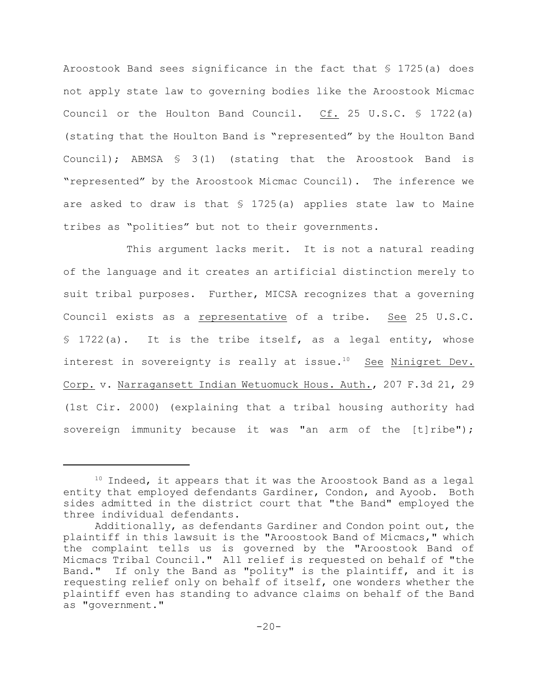Aroostook Band sees significance in the fact that § 1725(a) does not apply state law to governing bodies like the Aroostook Micmac Council or the Houlton Band Council. Cf. 25 U.S.C. § 1722(a) (stating that the Houlton Band is "represented" by the Houlton Band Council); ABMSA § 3(1) (stating that the Aroostook Band is "represented" by the Aroostook Micmac Council). The inference we are asked to draw is that § 1725(a) applies state law to Maine tribes as "polities" but not to their governments.

This argument lacks merit. It is not a natural reading of the language and it creates an artificial distinction merely to suit tribal purposes. Further, MICSA recognizes that a governing Council exists as a representative of a tribe. See 25 U.S.C. § 1722(a). It is the tribe itself, as a legal entity, whose interest in sovereignty is really at issue.<sup>10</sup> See Ninigret Dev. Corp. v. Narragansett Indian Wetuomuck Hous. Auth., 207 F.3d 21, 29 (1st Cir. 2000) (explaining that a tribal housing authority had sovereign immunity because it was "an arm of the [t]ribe");

 $10$  Indeed, it appears that it was the Aroostook Band as a legal entity that employed defendants Gardiner, Condon, and Ayoob. Both sides admitted in the district court that "the Band" employed the three individual defendants.

Additionally, as defendants Gardiner and Condon point out, the plaintiff in this lawsuit is the "Aroostook Band of Micmacs," which the complaint tells us is governed by the "Aroostook Band of Micmacs Tribal Council." All relief is requested on behalf of "the Band." If only the Band as "polity" is the plaintiff, and it is requesting relief only on behalf of itself, one wonders whether the plaintiff even has standing to advance claims on behalf of the Band as "government."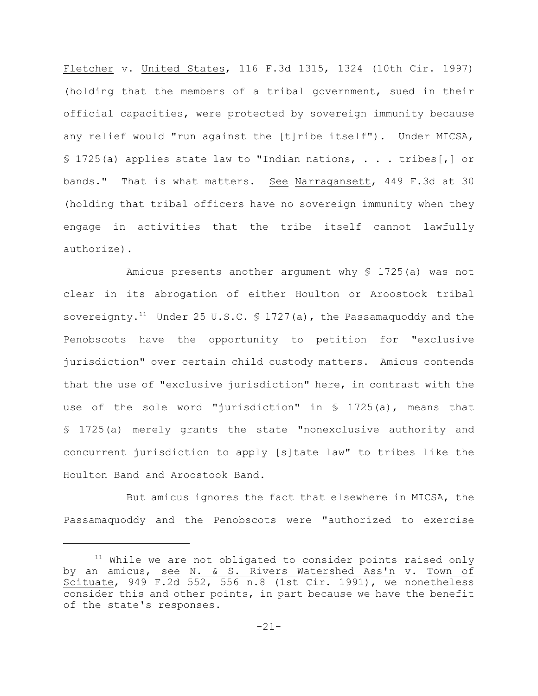Fletcher v. United States, 116 F.3d 1315, 1324 (10th Cir. 1997) (holding that the members of a tribal government, sued in their official capacities, were protected by sovereign immunity because any relief would "run against the [t]ribe itself"). Under MICSA, § 1725(a) applies state law to "Indian nations,  $\ldots$  tribes[,] or bands." That is what matters. See Narragansett, 449 F.3d at 30 (holding that tribal officers have no sovereign immunity when they engage in activities that the tribe itself cannot lawfully authorize).

Amicus presents another argument why § 1725(a) was not clear in its abrogation of either Houlton or Aroostook tribal sovereignty.<sup>11</sup> Under 25 U.S.C.  $\frac{1}{2}$  1727(a), the Passamaquoddy and the Penobscots have the opportunity to petition for "exclusive jurisdiction" over certain child custody matters. Amicus contends that the use of "exclusive jurisdiction" here, in contrast with the use of the sole word "jurisdiction" in § 1725(a), means that § 1725(a) merely grants the state "nonexclusive authority and concurrent jurisdiction to apply [s]tate law" to tribes like the Houlton Band and Aroostook Band.

But amicus ignores the fact that elsewhere in MICSA, the Passamaquoddy and the Penobscots were "authorized to exercise

 $11$  While we are not obligated to consider points raised only by an amicus, see N. & S. Rivers Watershed Ass'n v. Town of Scituate, 949 F.2d 552, 556 n.8 (1st Cir. 1991), we nonetheless consider this and other points, in part because we have the benefit of the state's responses.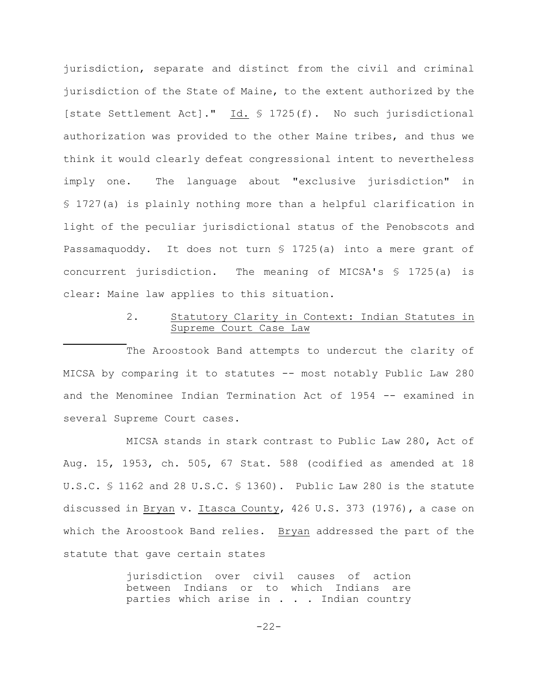jurisdiction, separate and distinct from the civil and criminal jurisdiction of the State of Maine, to the extent authorized by the [state Settlement Act]." Id. § 1725(f). No such jurisdictional authorization was provided to the other Maine tribes, and thus we think it would clearly defeat congressional intent to nevertheless imply one. The language about "exclusive jurisdiction" in § 1727(a) is plainly nothing more than a helpful clarification in light of the peculiar jurisdictional status of the Penobscots and Passamaquoddy. It does not turn § 1725(a) into a mere grant of concurrent jurisdiction. The meaning of MICSA's § 1725(a) is clear: Maine law applies to this situation.

# 2. Statutory Clarity in Context: Indian Statutes in Supreme Court Case Law

The Aroostook Band attempts to undercut the clarity of MICSA by comparing it to statutes -- most notably Public Law 280 and the Menominee Indian Termination Act of 1954 -- examined in several Supreme Court cases.

MICSA stands in stark contrast to Public Law 280, Act of Aug. 15, 1953, ch. 505, 67 Stat. 588 (codified as amended at 18 U.S.C. § 1162 and 28 U.S.C. § 1360). Public Law 280 is the statute discussed in Bryan v. Itasca County, 426 U.S. 373 (1976), a case on which the Aroostook Band relies. Bryan addressed the part of the statute that gave certain states

> jurisdiction over civil causes of action between Indians or to which Indians are parties which arise in . . . Indian country

> > -22-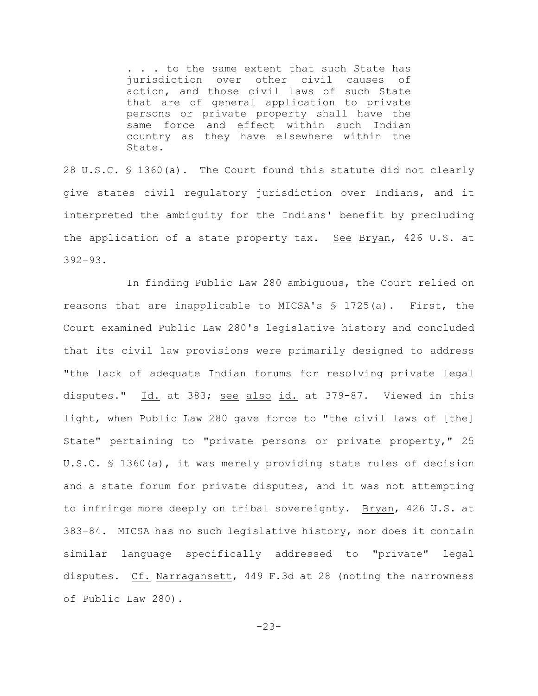. . . to the same extent that such State has jurisdiction over other civil causes of action, and those civil laws of such State that are of general application to private persons or private property shall have the same force and effect within such Indian country as they have elsewhere within the State.

28 U.S.C. § 1360(a). The Court found this statute did not clearly give states civil regulatory jurisdiction over Indians, and it interpreted the ambiguity for the Indians' benefit by precluding the application of a state property tax. See Bryan, 426 U.S. at 392-93.

In finding Public Law 280 ambiguous, the Court relied on reasons that are inapplicable to MICSA's  $$ 1725(a)$ . First, the Court examined Public Law 280's legislative history and concluded that its civil law provisions were primarily designed to address "the lack of adequate Indian forums for resolving private legal disputes." Id. at 383; see also id. at 379-87. Viewed in this light, when Public Law 280 gave force to "the civil laws of [the] State" pertaining to "private persons or private property," 25 U.S.C. § 1360(a), it was merely providing state rules of decision and a state forum for private disputes, and it was not attempting to infringe more deeply on tribal sovereignty. Bryan, 426 U.S. at 383-84. MICSA has no such legislative history, nor does it contain similar language specifically addressed to "private" legal disputes. Cf. Narragansett, 449 F.3d at 28 (noting the narrowness of Public Law 280).

-23-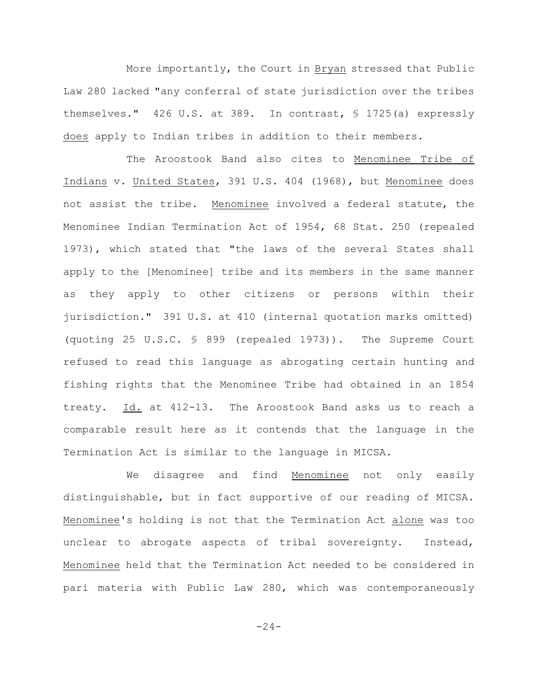More importantly, the Court in Bryan stressed that Public Law 280 lacked "any conferral of state jurisdiction over the tribes themselves." 426 U.S. at 389. In contrast, § 1725(a) expressly does apply to Indian tribes in addition to their members.

The Aroostook Band also cites to Menominee Tribe of Indians v. United States, 391 U.S. 404 (1968), but Menominee does not assist the tribe. Menominee involved a federal statute, the Menominee Indian Termination Act of 1954, 68 Stat. 250 (repealed 1973), which stated that "the laws of the several States shall apply to the [Menominee] tribe and its members in the same manner as they apply to other citizens or persons within their jurisdiction." 391 U.S. at 410 (internal quotation marks omitted) (quoting 25 U.S.C. § 899 (repealed 1973)). The Supreme Court refused to read this language as abrogating certain hunting and fishing rights that the Menominee Tribe had obtained in an 1854 treaty. Id. at 412-13. The Aroostook Band asks us to reach a comparable result here as it contends that the language in the Termination Act is similar to the language in MICSA.

We disagree and find Menominee not only easily distinguishable, but in fact supportive of our reading of MICSA. Menominee's holding is not that the Termination Act alone was too unclear to abrogate aspects of tribal sovereignty. Instead, Menominee held that the Termination Act needed to be considered in pari materia with Public Law 280, which was contemporaneously

 $-24-$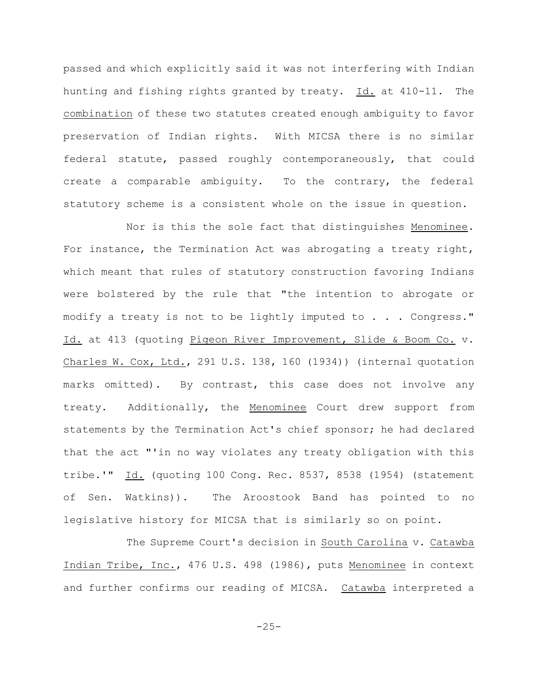passed and which explicitly said it was not interfering with Indian hunting and fishing rights granted by treaty. Id. at 410-11. The combination of these two statutes created enough ambiguity to favor preservation of Indian rights. With MICSA there is no similar federal statute, passed roughly contemporaneously, that could create a comparable ambiguity. To the contrary, the federal statutory scheme is a consistent whole on the issue in question.

Nor is this the sole fact that distinguishes Menominee. For instance, the Termination Act was abrogating a treaty right, which meant that rules of statutory construction favoring Indians were bolstered by the rule that "the intention to abrogate or modify a treaty is not to be lightly imputed to . . . Congress." Id. at 413 (quoting Pigeon River Improvement, Slide & Boom Co. v. Charles W. Cox, Ltd., 291 U.S. 138, 160 (1934)) (internal quotation marks omitted). By contrast, this case does not involve any treaty. Additionally, the Menominee Court drew support from statements by the Termination Act's chief sponsor; he had declared that the act "'in no way violates any treaty obligation with this tribe.'" Id. (quoting 100 Cong. Rec. 8537, 8538 (1954) (statement of Sen. Watkins)). The Aroostook Band has pointed to no legislative history for MICSA that is similarly so on point.

The Supreme Court's decision in South Carolina v. Catawba Indian Tribe, Inc., 476 U.S. 498 (1986), puts Menominee in context and further confirms our reading of MICSA. Catawba interpreted a

 $-25-$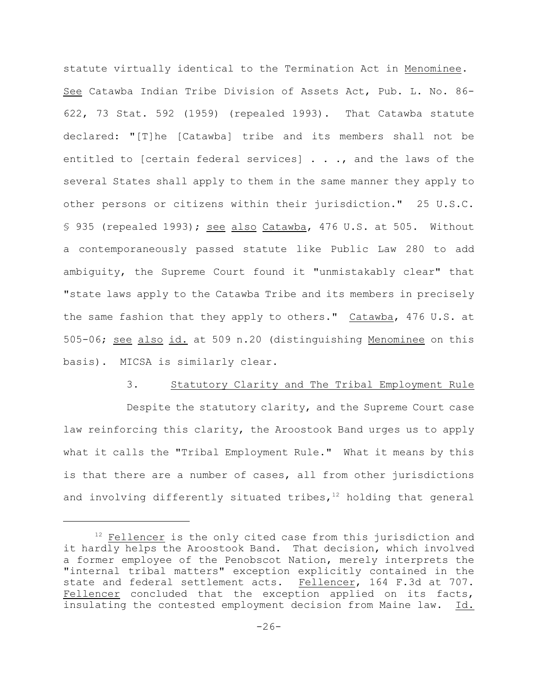statute virtually identical to the Termination Act in Menominee. See Catawba Indian Tribe Division of Assets Act, Pub. L. No. 86- 622, 73 Stat. 592 (1959) (repealed 1993). That Catawba statute declared: "[T]he [Catawba] tribe and its members shall not be entitled to [certain federal services] . . ., and the laws of the several States shall apply to them in the same manner they apply to other persons or citizens within their jurisdiction." 25 U.S.C. § 935 (repealed 1993); see also Catawba, 476 U.S. at 505. Without a contemporaneously passed statute like Public Law 280 to add ambiguity, the Supreme Court found it "unmistakably clear" that "state laws apply to the Catawba Tribe and its members in precisely the same fashion that they apply to others." Catawba, 476 U.S. at 505-06; see also id. at 509 n.20 (distinguishing Menominee on this basis). MICSA is similarly clear.

## 3. Statutory Clarity and The Tribal Employment Rule

Despite the statutory clarity, and the Supreme Court case law reinforcing this clarity, the Aroostook Band urges us to apply what it calls the "Tribal Employment Rule." What it means by this is that there are a number of cases, all from other jurisdictions and involving differently situated tribes,  $12$  holding that general

 $12$  Fellencer is the only cited case from this jurisdiction and it hardly helps the Aroostook Band. That decision, which involved a former employee of the Penobscot Nation, merely interprets the "internal tribal matters" exception explicitly contained in the state and federal settlement acts. Fellencer, 164 F.3d at 707. Fellencer concluded that the exception applied on its facts, insulating the contested employment decision from Maine law. Id.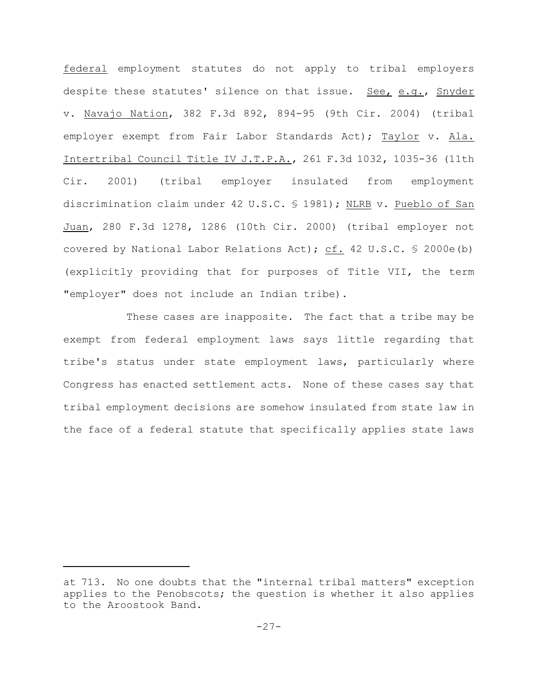federal employment statutes do not apply to tribal employers despite these statutes' silence on that issue. See, e.g., Snyder v. Navajo Nation, 382 F.3d 892, 894-95 (9th Cir. 2004) (tribal employer exempt from Fair Labor Standards Act); Taylor v. Ala. Intertribal Council Title IV J.T.P.A., 261 F.3d 1032, 1035-36 (11th Cir. 2001) (tribal employer insulated from employment discrimination claim under 42 U.S.C. § 1981); NLRB v. Pueblo of San Juan, 280 F.3d 1278, 1286 (10th Cir. 2000) (tribal employer not covered by National Labor Relations Act); cf. 42 U.S.C. § 2000e(b) (explicitly providing that for purposes of Title VII, the term "employer" does not include an Indian tribe).

These cases are inapposite. The fact that a tribe may be exempt from federal employment laws says little regarding that tribe's status under state employment laws, particularly where Congress has enacted settlement acts. None of these cases say that tribal employment decisions are somehow insulated from state law in the face of a federal statute that specifically applies state laws

at 713. No one doubts that the "internal tribal matters" exception applies to the Penobscots; the question is whether it also applies to the Aroostook Band.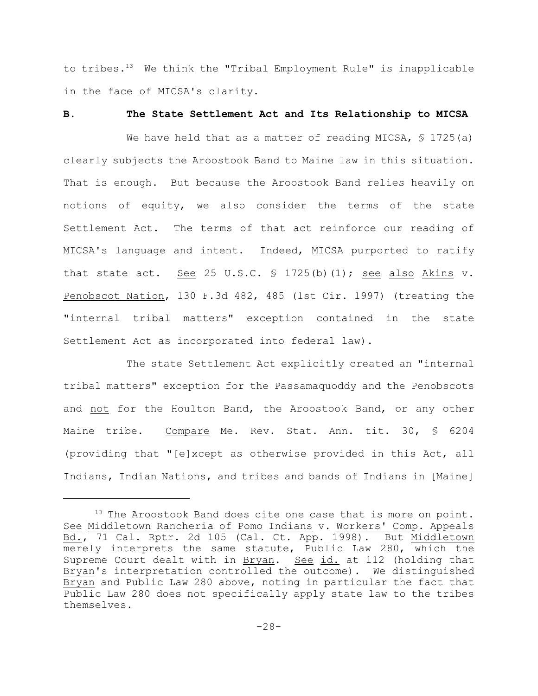to tribes. $^{13}$  We think the "Tribal Employment Rule" is inapplicable in the face of MICSA's clarity.

#### **B. The State Settlement Act and Its Relationship to MICSA**

We have held that as a matter of reading MICSA,  $\frac{6}{5}$  1725(a) clearly subjects the Aroostook Band to Maine law in this situation. That is enough. But because the Aroostook Band relies heavily on notions of equity, we also consider the terms of the state Settlement Act. The terms of that act reinforce our reading of MICSA's language and intent. Indeed, MICSA purported to ratify that state act. See 25 U.S.C.  $\frac{1}{2}$  1725(b)(1); see also Akins v. Penobscot Nation, 130 F.3d 482, 485 (1st Cir. 1997) (treating the "internal tribal matters" exception contained in the state Settlement Act as incorporated into federal law).

The state Settlement Act explicitly created an "internal tribal matters" exception for the Passamaquoddy and the Penobscots and not for the Houlton Band, the Aroostook Band, or any other Maine tribe. Compare Me. Rev. Stat. Ann. tit. 30, § 6204 (providing that "[e]xcept as otherwise provided in this Act, all Indians, Indian Nations, and tribes and bands of Indians in [Maine]

 $13$  The Aroostook Band does cite one case that is more on point. See Middletown Rancheria of Pomo Indians v. Workers' Comp. Appeals Bd., 71 Cal. Rptr. 2d 105 (Cal. Ct. App. 1998). But Middletown merely interprets the same statute, Public Law 280, which the Supreme Court dealt with in Bryan. See id. at 112 (holding that Bryan's interpretation controlled the outcome). We distinguished Bryan and Public Law 280 above, noting in particular the fact that Public Law 280 does not specifically apply state law to the tribes themselves.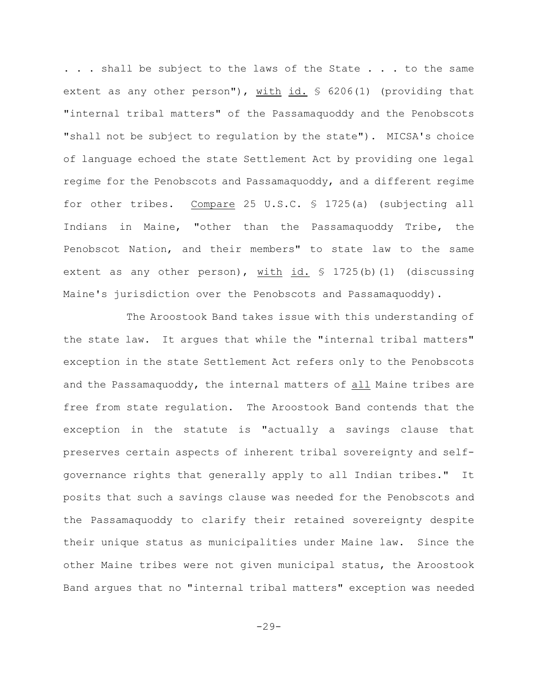... shall be subject to the laws of the State ... to the same extent as any other person"),  $with$   $id.$   $\frac{6206(1)}{100}$  (providing that "internal tribal matters" of the Passamaquoddy and the Penobscots "shall not be subject to regulation by the state"). MICSA's choice of language echoed the state Settlement Act by providing one legal regime for the Penobscots and Passamaquoddy, and a different regime for other tribes. Compare 25 U.S.C. § 1725(a) (subjecting all Indians in Maine, "other than the Passamaquoddy Tribe, the Penobscot Nation, and their members" to state law to the same extent as any other person), with id.  $\frac{1725(b)}{1}$  (discussing Maine's jurisdiction over the Penobscots and Passamaquoddy).

The Aroostook Band takes issue with this understanding of the state law. It argues that while the "internal tribal matters" exception in the state Settlement Act refers only to the Penobscots and the Passamaquoddy, the internal matters of all Maine tribes are free from state regulation. The Aroostook Band contends that the exception in the statute is "actually a savings clause that preserves certain aspects of inherent tribal sovereignty and selfgovernance rights that generally apply to all Indian tribes." It posits that such a savings clause was needed for the Penobscots and the Passamaquoddy to clarify their retained sovereignty despite their unique status as municipalities under Maine law. Since the other Maine tribes were not given municipal status, the Aroostook Band argues that no "internal tribal matters" exception was needed

 $-29-$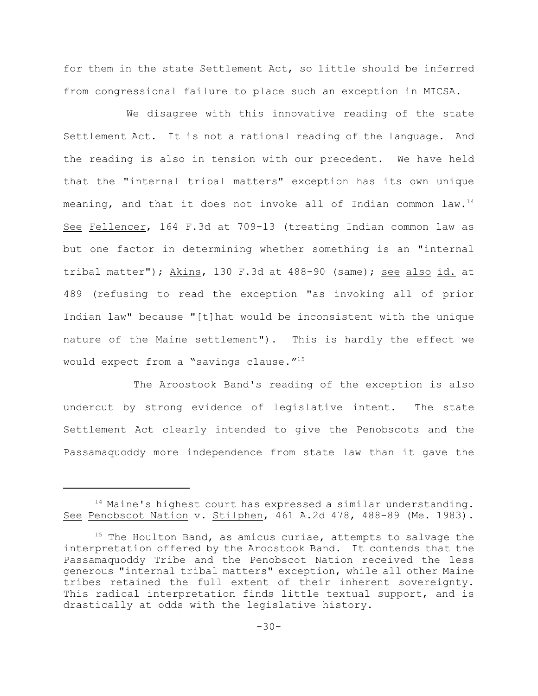for them in the state Settlement Act, so little should be inferred from congressional failure to place such an exception in MICSA.

We disagree with this innovative reading of the state Settlement Act. It is not a rational reading of the language. And the reading is also in tension with our precedent. We have held that the "internal tribal matters" exception has its own unique meaning, and that it does not invoke all of Indian common law.<sup>14</sup> See Fellencer, 164 F.3d at 709-13 (treating Indian common law as but one factor in determining whether something is an "internal tribal matter"); Akins, 130 F.3d at 488-90 (same); see also id. at 489 (refusing to read the exception "as invoking all of prior Indian law" because "[t]hat would be inconsistent with the unique nature of the Maine settlement"). This is hardly the effect we would expect from a "savings clause."<sup>15</sup>

 The Aroostook Band's reading of the exception is also undercut by strong evidence of legislative intent. The state Settlement Act clearly intended to give the Penobscots and the Passamaquoddy more independence from state law than it gave the

 $14$  Maine's highest court has expressed a similar understanding. See Penobscot Nation v. Stilphen, 461 A.2d 478, 488-89 (Me. 1983).

 $15$  The Houlton Band, as amicus curiae, attempts to salvage the interpretation offered by the Aroostook Band. It contends that the Passamaquoddy Tribe and the Penobscot Nation received the less generous "internal tribal matters" exception, while all other Maine tribes retained the full extent of their inherent sovereignty. This radical interpretation finds little textual support, and is drastically at odds with the legislative history.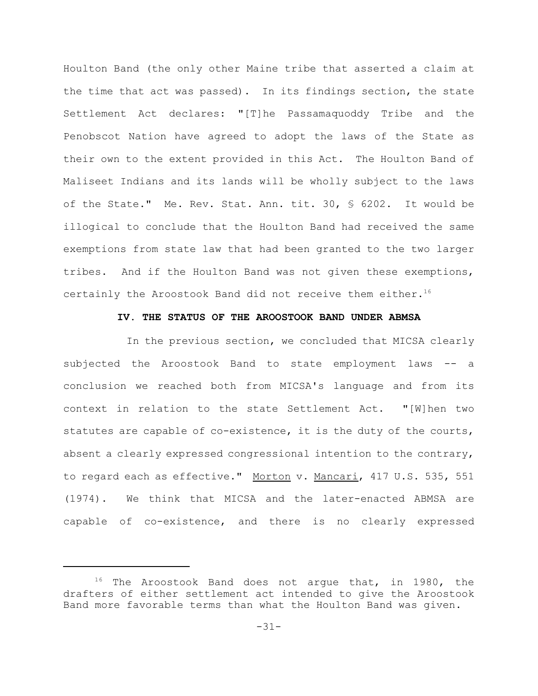Houlton Band (the only other Maine tribe that asserted a claim at the time that act was passed). In its findings section, the state Settlement Act declares: "[T]he Passamaquoddy Tribe and the Penobscot Nation have agreed to adopt the laws of the State as their own to the extent provided in this Act. The Houlton Band of Maliseet Indians and its lands will be wholly subject to the laws of the State." Me. Rev. Stat. Ann. tit. 30, § 6202. It would be illogical to conclude that the Houlton Band had received the same exemptions from state law that had been granted to the two larger tribes. And if the Houlton Band was not given these exemptions, certainly the Aroostook Band did not receive them either.<sup>16</sup>

## **IV. THE STATUS OF THE AROOSTOOK BAND UNDER ABMSA**

In the previous section, we concluded that MICSA clearly subjected the Aroostook Band to state employment laws -- a conclusion we reached both from MICSA's language and from its context in relation to the state Settlement Act. "[W]hen two statutes are capable of co-existence, it is the duty of the courts, absent a clearly expressed congressional intention to the contrary, to regard each as effective." Morton v. Mancari, 417 U.S. 535, 551 (1974). We think that MICSA and the later-enacted ABMSA are capable of co-existence, and there is no clearly expressed

 $16$  The Aroostook Band does not argue that, in 1980, the drafters of either settlement act intended to give the Aroostook Band more favorable terms than what the Houlton Band was given.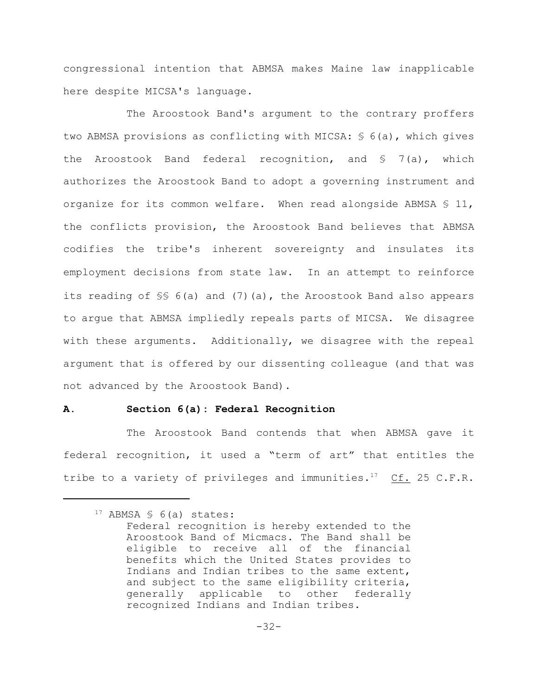congressional intention that ABMSA makes Maine law inapplicable here despite MICSA's language.

The Aroostook Band's argument to the contrary proffers two ABMSA provisions as conflicting with MICSA: § 6(a), which gives the Aroostook Band federal recognition, and  $S = 7(a)$ , which authorizes the Aroostook Band to adopt a governing instrument and organize for its common welfare. When read alongside ABMSA § 11, the conflicts provision, the Aroostook Band believes that ABMSA codifies the tribe's inherent sovereignty and insulates its employment decisions from state law. In an attempt to reinforce its reading of §§ 6(a) and (7)(a), the Aroostook Band also appears to argue that ABMSA impliedly repeals parts of MICSA. We disagree with these arguments. Additionally, we disagree with the repeal argument that is offered by our dissenting colleague (and that was not advanced by the Aroostook Band).

#### **A. Section 6(a): Federal Recognition**

The Aroostook Band contends that when ABMSA gave it federal recognition, it used a "term of art" that entitles the tribe to a variety of privileges and immunities.<sup>17</sup> Cf. 25 C.F.R.

 $17$  ABMSA § 6(a) states:

Federal recognition is hereby extended to the Aroostook Band of Micmacs. The Band shall be eligible to receive all of the financial benefits which the United States provides to Indians and Indian tribes to the same extent, and subject to the same eligibility criteria, generally applicable to other federally recognized Indians and Indian tribes.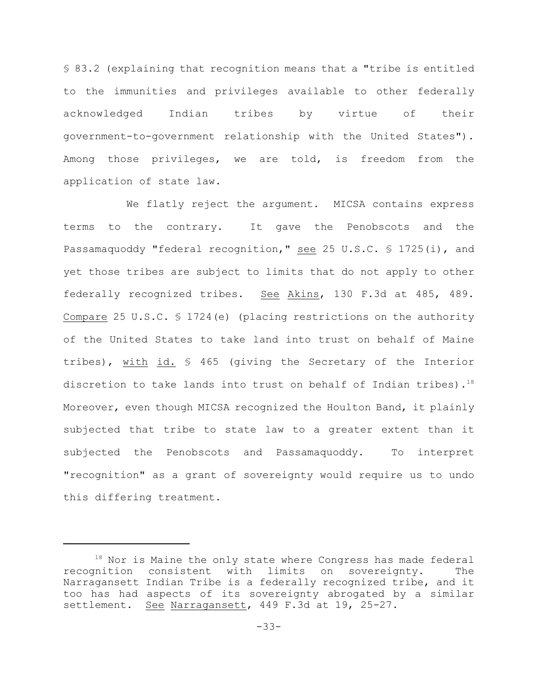§ 83.2 (explaining that recognition means that a "tribe is entitled to the immunities and privileges available to other federally acknowledged Indian tribes by virtue of their government-to-government relationship with the United States"). Among those privileges, we are told, is freedom from the application of state law.

We flatly reject the argument. MICSA contains express terms to the contrary. It gave the Penobscots and the Passamaquoddy "federal recognition," see 25 U.S.C. § 1725(i), and yet those tribes are subject to limits that do not apply to other federally recognized tribes. See Akins, 130 F.3d at 485, 489. Compare 25 U.S.C. § 1724(e) (placing restrictions on the authority of the United States to take land into trust on behalf of Maine tribes), with id. § 465 (giving the Secretary of the Interior discretion to take lands into trust on behalf of Indian tribes).<sup>18</sup> Moreover, even though MICSA recognized the Houlton Band, it plainly subjected that tribe to state law to a greater extent than it subjected the Penobscots and Passamaquoddy. To interpret "recognition" as a grant of sovereignty would require us to undo this differing treatment.

 $18$  Nor is Maine the only state where Congress has made federal recognition consistent with limits on sovereignty. The Narragansett Indian Tribe is a federally recognized tribe, and it too has had aspects of its sovereignty abrogated by a similar settlement. See Narragansett, 449 F.3d at 19, 25-27.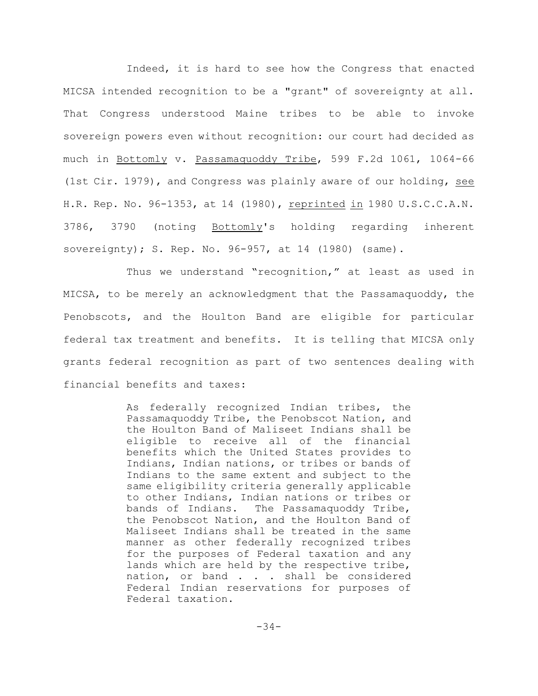Indeed, it is hard to see how the Congress that enacted MICSA intended recognition to be a "grant" of sovereignty at all. That Congress understood Maine tribes to be able to invoke sovereign powers even without recognition: our court had decided as much in Bottomly v. Passamaquoddy Tribe, 599 F.2d 1061, 1064-66 (1st Cir. 1979), and Congress was plainly aware of our holding, see H.R. Rep. No. 96-1353, at 14 (1980), reprinted in 1980 U.S.C.C.A.N. 3786, 3790 (noting Bottomly's holding regarding inherent sovereignty); S. Rep. No. 96-957, at 14 (1980) (same).

Thus we understand "recognition," at least as used in MICSA, to be merely an acknowledgment that the Passamaquoddy, the Penobscots, and the Houlton Band are eligible for particular federal tax treatment and benefits. It is telling that MICSA only grants federal recognition as part of two sentences dealing with financial benefits and taxes:

> As federally recognized Indian tribes, the Passamaquoddy Tribe, the Penobscot Nation, and the Houlton Band of Maliseet Indians shall be eligible to receive all of the financial benefits which the United States provides to Indians, Indian nations, or tribes or bands of Indians to the same extent and subject to the same eligibility criteria generally applicable to other Indians, Indian nations or tribes or bands of Indians. The Passamaquoddy Tribe, the Penobscot Nation, and the Houlton Band of Maliseet Indians shall be treated in the same manner as other federally recognized tribes for the purposes of Federal taxation and any lands which are held by the respective tribe, nation, or band . . . shall be considered Federal Indian reservations for purposes of Federal taxation.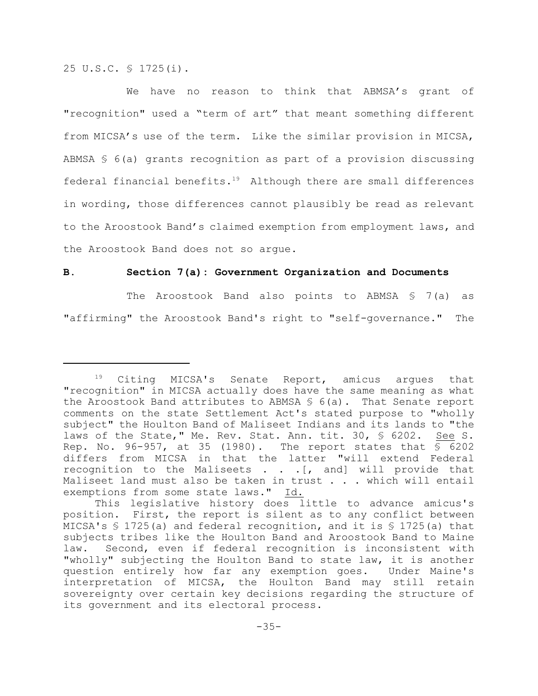25 U.S.C. § 1725(i).

We have no reason to think that ABMSA's grant of "recognition" used a "term of art" that meant something different from MICSA's use of the term. Like the similar provision in MICSA, ABMSA § 6(a) grants recognition as part of a provision discussing federal financial benefits. $19$  Although there are small differences in wording, those differences cannot plausibly be read as relevant to the Aroostook Band's claimed exemption from employment laws, and the Aroostook Band does not so argue.

# **B. Section 7(a): Government Organization and Documents**

The Aroostook Band also points to ABMSA  $$7(a)$  as "affirming" the Aroostook Band's right to "self-governance." The

 $19$  Citing MICSA's Senate Report, amicus argues that "recognition" in MICSA actually does have the same meaning as what the Aroostook Band attributes to ABMSA  $S$  6(a). That Senate report comments on the state Settlement Act's stated purpose to "wholly subject" the Houlton Band of Maliseet Indians and its lands to "the laws of the State," Me. Rev. Stat. Ann. tit. 30, § 6202. See S. Rep. No. 96-957, at 35 (1980). The report states that  $\S$  6202 differs from MICSA in that the latter "will extend Federal recognition to the Maliseets . . .[, and] will provide that Maliseet land must also be taken in trust . . . which will entail exemptions from some state laws." Id.

This legislative history does little to advance amicus's position. First, the report is silent as to any conflict between MICSA's  $\frac{1}{2}$  1725(a) and federal recognition, and it is  $\frac{1}{2}$  1725(a) that subjects tribes like the Houlton Band and Aroostook Band to Maine law. Second, even if federal recognition is inconsistent with "wholly" subjecting the Houlton Band to state law, it is another question entirely how far any exemption goes. Under Maine's interpretation of MICSA, the Houlton Band may still retain sovereignty over certain key decisions regarding the structure of its government and its electoral process.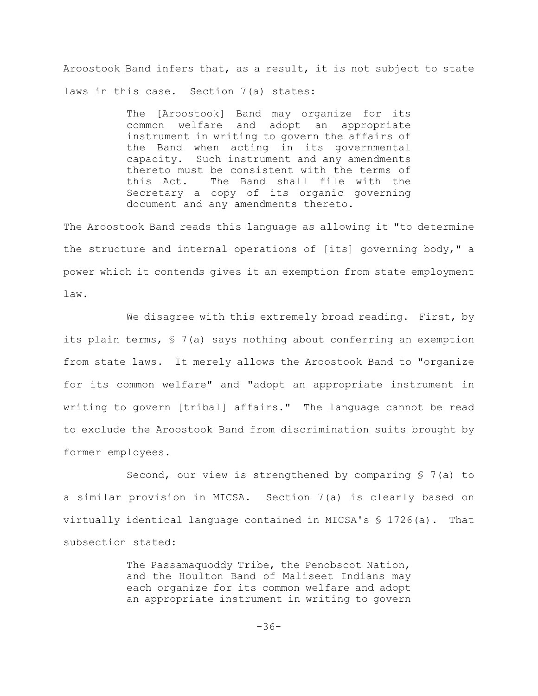Aroostook Band infers that, as a result, it is not subject to state laws in this case. Section 7(a) states:

> The [Aroostook] Band may organize for its common welfare and adopt an appropriate instrument in writing to govern the affairs of the Band when acting in its governmental capacity. Such instrument and any amendments thereto must be consistent with the terms of this Act. The Band shall file with the Secretary a copy of its organic governing document and any amendments thereto.

The Aroostook Band reads this language as allowing it "to determine the structure and internal operations of [its] governing body," a power which it contends gives it an exemption from state employment law.

We disagree with this extremely broad reading. First, by its plain terms, § 7(a) says nothing about conferring an exemption from state laws. It merely allows the Aroostook Band to "organize for its common welfare" and "adopt an appropriate instrument in writing to govern [tribal] affairs." The language cannot be read to exclude the Aroostook Band from discrimination suits brought by former employees.

Second, our view is strengthened by comparing § 7(a) to a similar provision in MICSA. Section 7(a) is clearly based on virtually identical language contained in MICSA's § 1726(a). That subsection stated:

> The Passamaquoddy Tribe, the Penobscot Nation, and the Houlton Band of Maliseet Indians may each organize for its common welfare and adopt an appropriate instrument in writing to govern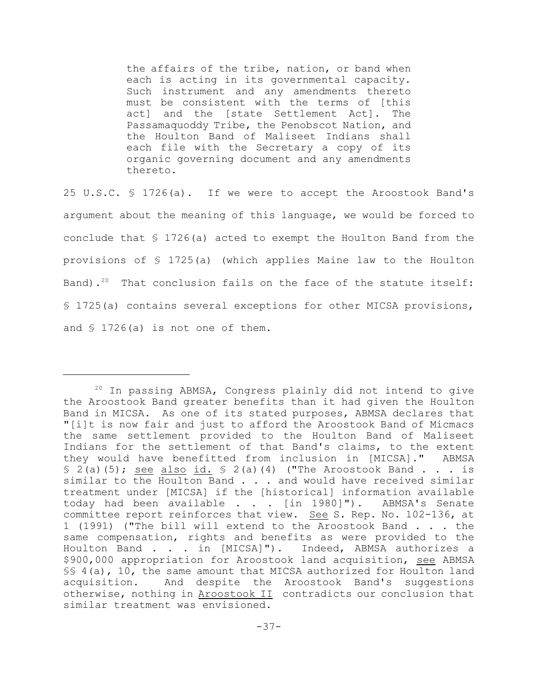the affairs of the tribe, nation, or band when each is acting in its governmental capacity. Such instrument and any amendments thereto must be consistent with the terms of [this act] and the [state Settlement Act]. The Passamaquoddy Tribe, the Penobscot Nation, and the Houlton Band of Maliseet Indians shall each file with the Secretary a copy of its organic governing document and any amendments thereto.

25 U.S.C. § 1726(a). If we were to accept the Aroostook Band's argument about the meaning of this language, we would be forced to conclude that  $$ 1726(a)$  acted to exempt the Houlton Band from the provisions of § 1725(a) (which applies Maine law to the Houlton Band).<sup>20</sup> That conclusion fails on the face of the statute itself: § 1725(a) contains several exceptions for other MICSA provisions, and § 1726(a) is not one of them.

 $20$  In passing ABMSA, Congress plainly did not intend to give the Aroostook Band greater benefits than it had given the Houlton Band in MICSA. As one of its stated purposes, ABMSA declares that "[i]t is now fair and just to afford the Aroostook Band of Micmacs the same settlement provided to the Houlton Band of Maliseet Indians for the settlement of that Band's claims, to the extent they would have benefitted from inclusion in [MICSA]." ABMSA  $\{5, 2(a), (5)\}$ ; see also id.  $\{5, 2(a), (4)\}$  ("The Aroostook Band . . . is similar to the Houlton Band . . . and would have received similar treatment under [MICSA] if the [historical] information available today had been available . . . [in 1980]"). ABMSA's Senate committee report reinforces that view. See S. Rep. No. 102-136, at 1 (1991) ("The bill will extend to the Aroostook Band . . . the same compensation, rights and benefits as were provided to the Houlton Band . . . in [MICSA]"). Indeed, ABMSA authorizes a \$900,000 appropriation for Aroostook land acquisition, see ABMSA §§ 4(a), 10, the same amount that MICSA authorized for Houlton land acquisition. And despite the Aroostook Band's suggestions otherwise, nothing in Aroostook II contradicts our conclusion that similar treatment was envisioned.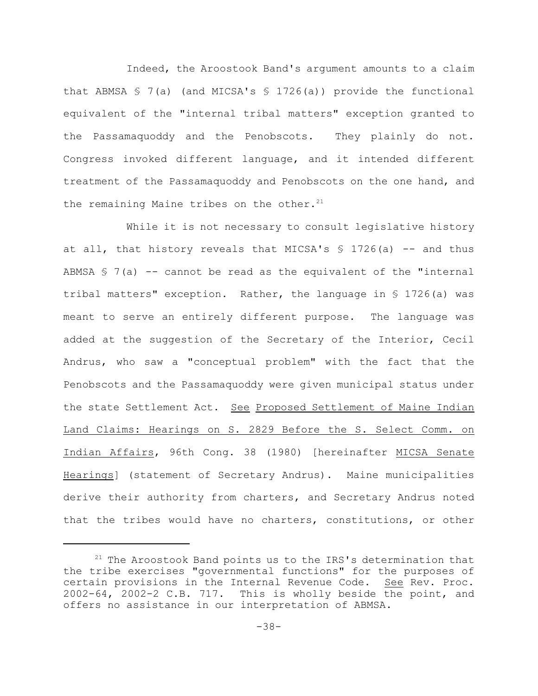Indeed, the Aroostook Band's argument amounts to a claim that ABMSA  $\frac{1}{5}$  7(a) (and MICSA's  $\frac{1}{5}$  1726(a)) provide the functional equivalent of the "internal tribal matters" exception granted to the Passamaquoddy and the Penobscots. They plainly do not. Congress invoked different language, and it intended different treatment of the Passamaquoddy and Penobscots on the one hand, and the remaining Maine tribes on the other. $21$ 

While it is not necessary to consult legislative history at all, that history reveals that MICSA's  $$ 1726(a)$  -- and thus ABMSA  $\frac{1}{2}$  7(a) -- cannot be read as the equivalent of the "internal tribal matters" exception. Rather, the language in § 1726(a) was meant to serve an entirely different purpose. The language was added at the suggestion of the Secretary of the Interior, Cecil Andrus, who saw a "conceptual problem" with the fact that the Penobscots and the Passamaquoddy were given municipal status under the state Settlement Act. See Proposed Settlement of Maine Indian Land Claims: Hearings on S. 2829 Before the S. Select Comm. on Indian Affairs, 96th Cong. 38 (1980) [hereinafter MICSA Senate Hearings] (statement of Secretary Andrus). Maine municipalities derive their authority from charters, and Secretary Andrus noted that the tribes would have no charters, constitutions, or other

 $21$  The Aroostook Band points us to the IRS's determination that the tribe exercises "governmental functions" for the purposes of certain provisions in the Internal Revenue Code. See Rev. Proc. 2002-64, 2002-2 C.B. 717. This is wholly beside the point, and offers no assistance in our interpretation of ABMSA.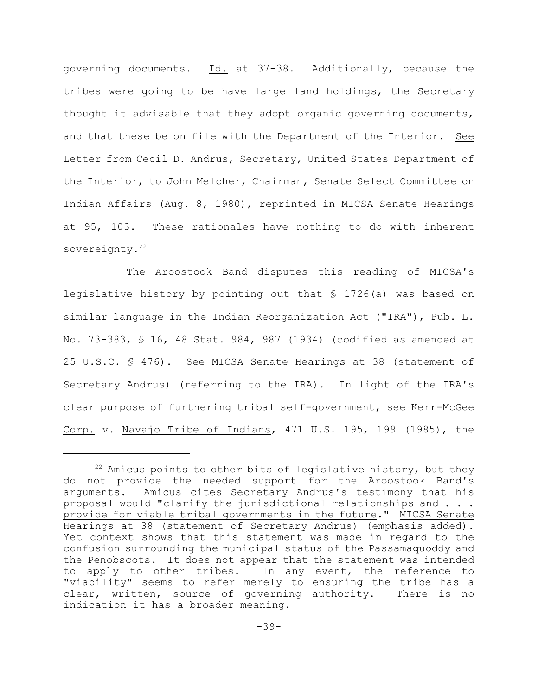governing documents. Id. at 37-38. Additionally, because the tribes were going to be have large land holdings, the Secretary thought it advisable that they adopt organic governing documents, and that these be on file with the Department of the Interior. See Letter from Cecil D. Andrus, Secretary, United States Department of the Interior, to John Melcher, Chairman, Senate Select Committee on Indian Affairs (Aug. 8, 1980), reprinted in MICSA Senate Hearings at 95, 103. These rationales have nothing to do with inherent sovereignty.<sup>22</sup>

The Aroostook Band disputes this reading of MICSA's legislative history by pointing out that § 1726(a) was based on similar language in the Indian Reorganization Act ("IRA"), Pub. L. No. 73-383, § 16, 48 Stat. 984, 987 (1934) (codified as amended at 25 U.S.C. § 476). See MICSA Senate Hearings at 38 (statement of Secretary Andrus) (referring to the IRA). In light of the IRA's clear purpose of furthering tribal self-government, see Kerr-McGee Corp. v. Navajo Tribe of Indians, 471 U.S. 195, 199 (1985), the

 $22$  Amicus points to other bits of legislative history, but they do not provide the needed support for the Aroostook Band's arguments. Amicus cites Secretary Andrus's testimony that his proposal would "clarify the jurisdictional relationships and . . . provide for viable tribal governments in the future." MICSA Senate Hearings at 38 (statement of Secretary Andrus) (emphasis added). Yet context shows that this statement was made in regard to the confusion surrounding the municipal status of the Passamaquoddy and the Penobscots. It does not appear that the statement was intended to apply to other tribes. In any event, the reference to "viability" seems to refer merely to ensuring the tribe has a clear, written, source of governing authority. There is no indication it has a broader meaning.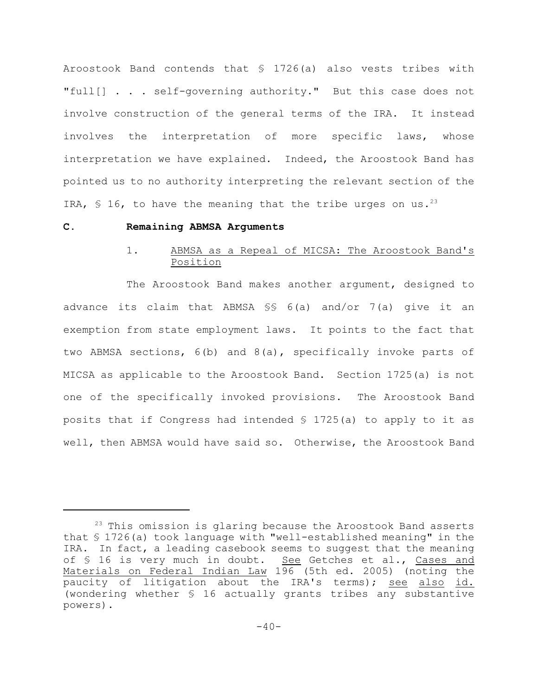Aroostook Band contends that § 1726(a) also vests tribes with "full[] . . . self-governing authority." But this case does not involve construction of the general terms of the IRA. It instead involves the interpretation of more specific laws, whose interpretation we have explained. Indeed, the Aroostook Band has pointed us to no authority interpreting the relevant section of the IRA,  $\frac{1}{5}$  16, to have the meaning that the tribe urges on us.<sup>23</sup>

### **C. Remaining ABMSA Arguments**

# 1. ABMSA as a Repeal of MICSA: The Aroostook Band's Position

The Aroostook Band makes another argument, designed to advance its claim that ABMSA §§ 6(a) and/or 7(a) give it an exemption from state employment laws. It points to the fact that two ABMSA sections, 6(b) and 8(a), specifically invoke parts of MICSA as applicable to the Aroostook Band. Section 1725(a) is not one of the specifically invoked provisions. The Aroostook Band posits that if Congress had intended § 1725(a) to apply to it as well, then ABMSA would have said so. Otherwise, the Aroostook Band

 $23$  This omission is glaring because the Aroostook Band asserts that § 1726(a) took language with "well-established meaning" in the IRA. In fact, a leading casebook seems to suggest that the meaning of § 16 is very much in doubt. See Getches et al., Cases and Materials on Federal Indian Law 196 (5th ed. 2005) (noting the paucity of litigation about the IRA's terms); see also id. (wondering whether § 16 actually grants tribes any substantive powers).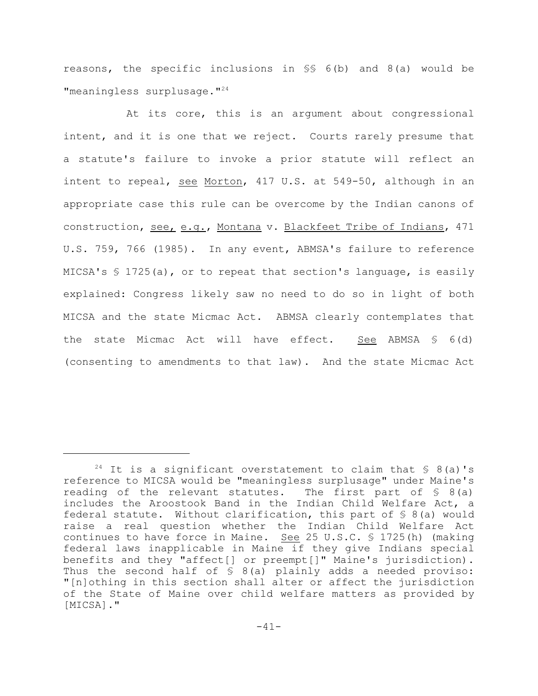reasons, the specific inclusions in §§ 6(b) and 8(a) would be "meaningless surplusage."<sup>24</sup>

At its core, this is an argument about congressional intent, and it is one that we reject. Courts rarely presume that a statute's failure to invoke a prior statute will reflect an intent to repeal, see Morton, 417 U.S. at 549-50, although in an appropriate case this rule can be overcome by the Indian canons of construction, see, e.g., Montana v. Blackfeet Tribe of Indians, 471 U.S. 759, 766 (1985). In any event, ABMSA's failure to reference MICSA's  $\frac{1}{2}$  1725(a), or to repeat that section's language, is easily explained: Congress likely saw no need to do so in light of both MICSA and the state Micmac Act. ABMSA clearly contemplates that the state Micmac Act will have effect. See ABMSA § 6(d) (consenting to amendments to that law). And the state Micmac Act

<sup>&</sup>lt;sup>24</sup> It is a significant overstatement to claim that  $\frac{1}{2}$  8(a)'s reference to MICSA would be "meaningless surplusage" under Maine's reading of the relevant statutes. The first part of § 8(a) includes the Aroostook Band in the Indian Child Welfare Act, a federal statute. Without clarification, this part of  $\frac{6}{5}$  8(a) would raise a real question whether the Indian Child Welfare Act continues to have force in Maine. See 25 U.S.C. § 1725(h) (making federal laws inapplicable in Maine if they give Indians special benefits and they "affect[] or preempt[]" Maine's jurisdiction). Thus the second half of  $S$  8(a) plainly adds a needed proviso: "[n]othing in this section shall alter or affect the jurisdiction of the State of Maine over child welfare matters as provided by [MICSA]."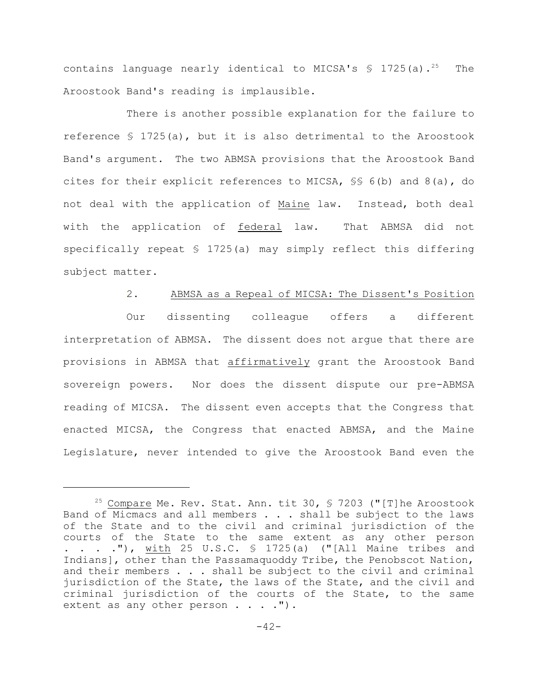contains language nearly identical to MICSA's  $\frac{1}{5}$  1725(a).<sup>25</sup> The Aroostook Band's reading is implausible.

There is another possible explanation for the failure to reference § 1725(a), but it is also detrimental to the Aroostook Band's argument. The two ABMSA provisions that the Aroostook Band cites for their explicit references to MICSA, §§ 6(b) and 8(a), do not deal with the application of Maine law. Instead, both deal with the application of federal law. That ABMSA did not specifically repeat § 1725(a) may simply reflect this differing subject matter.

#### 2. ABMSA as a Repeal of MICSA: The Dissent's Position

Our dissenting colleague offers a different interpretation of ABMSA. The dissent does not argue that there are provisions in ABMSA that affirmatively grant the Aroostook Band sovereign powers. Nor does the dissent dispute our pre-ABMSA reading of MICSA. The dissent even accepts that the Congress that enacted MICSA, the Congress that enacted ABMSA, and the Maine Legislature, never intended to give the Aroostook Band even the

<sup>&</sup>lt;sup>25</sup> Compare Me. Rev. Stat. Ann. tit 30,  $\frac{5}{5}$  7203 ("[T] he Aroostook Band of Micmacs and all members . . . shall be subject to the laws of the State and to the civil and criminal jurisdiction of the courts of the State to the same extent as any other person  $\cdot$  . . ."), with 25 U.S.C.  $\frac{1725(a)}{1725(a)}$  ("[All Maine tribes and Indians], other than the Passamaquoddy Tribe, the Penobscot Nation, and their members  $\ldots$  shall be subject to the civil and criminal jurisdiction of the State, the laws of the State, and the civil and criminal jurisdiction of the courts of the State, to the same extent as any other person  $\ldots$ .").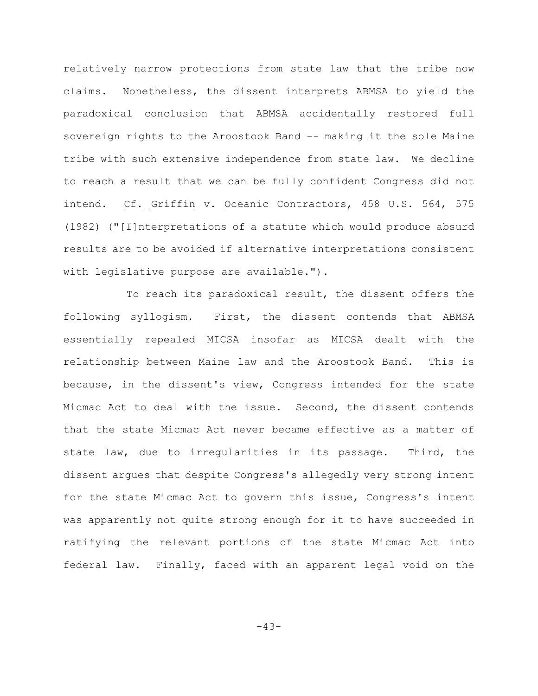relatively narrow protections from state law that the tribe now claims. Nonetheless, the dissent interprets ABMSA to yield the paradoxical conclusion that ABMSA accidentally restored full sovereign rights to the Aroostook Band -- making it the sole Maine tribe with such extensive independence from state law. We decline to reach a result that we can be fully confident Congress did not intend. Cf. Griffin v. Oceanic Contractors, 458 U.S. 564, 575 (1982) ("[I]nterpretations of a statute which would produce absurd results are to be avoided if alternative interpretations consistent with legislative purpose are available.").

To reach its paradoxical result, the dissent offers the following syllogism. First, the dissent contends that ABMSA essentially repealed MICSA insofar as MICSA dealt with the relationship between Maine law and the Aroostook Band. This is because, in the dissent's view, Congress intended for the state Micmac Act to deal with the issue. Second, the dissent contends that the state Micmac Act never became effective as a matter of state law, due to irregularities in its passage. Third, the dissent argues that despite Congress's allegedly very strong intent for the state Micmac Act to govern this issue, Congress's intent was apparently not quite strong enough for it to have succeeded in ratifying the relevant portions of the state Micmac Act into federal law. Finally, faced with an apparent legal void on the

-43-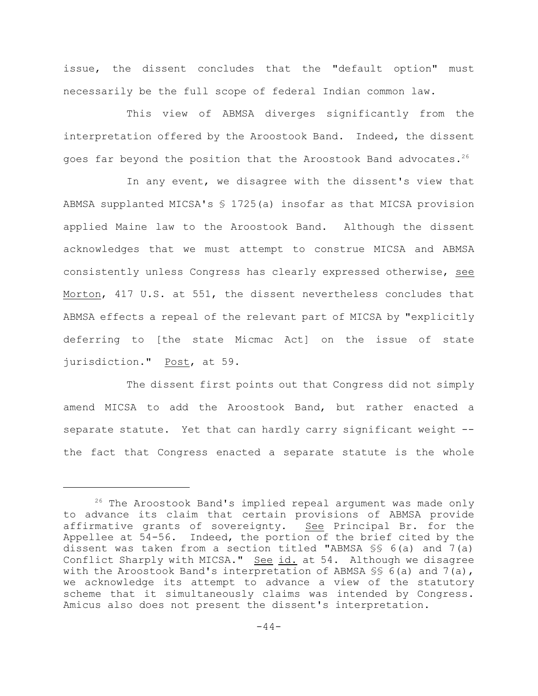issue, the dissent concludes that the "default option" must necessarily be the full scope of federal Indian common law.

This view of ABMSA diverges significantly from the interpretation offered by the Aroostook Band. Indeed, the dissent goes far beyond the position that the Aroostook Band advocates.<sup>26</sup>

In any event, we disagree with the dissent's view that ABMSA supplanted MICSA's § 1725(a) insofar as that MICSA provision applied Maine law to the Aroostook Band. Although the dissent acknowledges that we must attempt to construe MICSA and ABMSA consistently unless Congress has clearly expressed otherwise, see Morton, 417 U.S. at 551, the dissent nevertheless concludes that ABMSA effects a repeal of the relevant part of MICSA by "explicitly deferring to [the state Micmac Act] on the issue of state jurisdiction." Post, at 59.

The dissent first points out that Congress did not simply amend MICSA to add the Aroostook Band, but rather enacted a separate statute. Yet that can hardly carry significant weight -the fact that Congress enacted a separate statute is the whole

 $26$  The Aroostook Band's implied repeal argument was made only to advance its claim that certain provisions of ABMSA provide affirmative grants of sovereignty. See Principal Br. for the Appellee at 54-56. Indeed, the portion of the brief cited by the dissent was taken from a section titled "ABMSA §§ 6(a) and 7(a) Conflict Sharply with MICSA." See id. at 54. Although we disagree with the Aroostook Band's interpretation of ABMSA SS 6(a) and 7(a), we acknowledge its attempt to advance a view of the statutory scheme that it simultaneously claims was intended by Congress. Amicus also does not present the dissent's interpretation.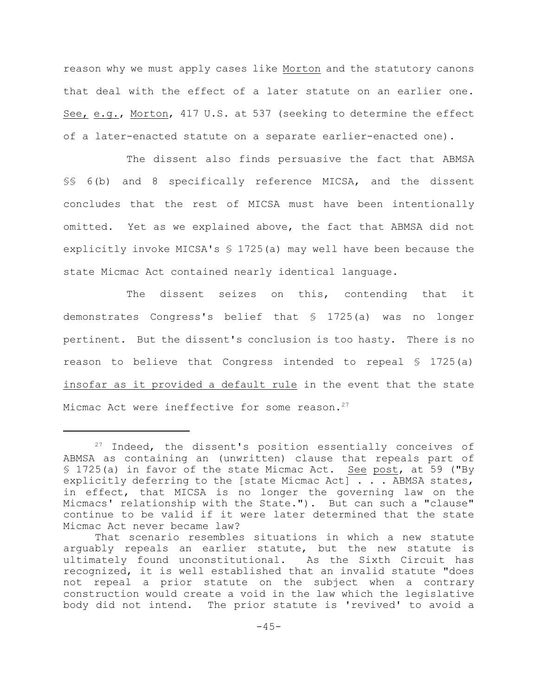reason why we must apply cases like Morton and the statutory canons that deal with the effect of a later statute on an earlier one. See, e.g., Morton, 417 U.S. at 537 (seeking to determine the effect of a later-enacted statute on a separate earlier-enacted one).

The dissent also finds persuasive the fact that ABMSA §§ 6(b) and 8 specifically reference MICSA, and the dissent concludes that the rest of MICSA must have been intentionally omitted. Yet as we explained above, the fact that ABMSA did not explicitly invoke MICSA's § 1725(a) may well have been because the state Micmac Act contained nearly identical language.

The dissent seizes on this, contending that it demonstrates Congress's belief that § 1725(a) was no longer pertinent. But the dissent's conclusion is too hasty. There is no reason to believe that Congress intended to repeal  $\frac{1}{5}$  1725(a) insofar as it provided a default rule in the event that the state Micmac Act were ineffective for some reason.<sup>27</sup>

 $27$  Indeed, the dissent's position essentially conceives of ABMSA as containing an (unwritten) clause that repeals part of § 1725(a) in favor of the state Micmac Act. See post, at 59 ("By explicitly deferring to the [state Micmac Act] . . . ABMSA states, in effect, that MICSA is no longer the governing law on the Micmacs' relationship with the State."). But can such a "clause" continue to be valid if it were later determined that the state Micmac Act never became law?

That scenario resembles situations in which a new statute arguably repeals an earlier statute, but the new statute is ultimately found unconstitutional. As the Sixth Circuit has recognized, it is well established that an invalid statute "does not repeal a prior statute on the subject when a contrary construction would create a void in the law which the legislative body did not intend. The prior statute is 'revived' to avoid a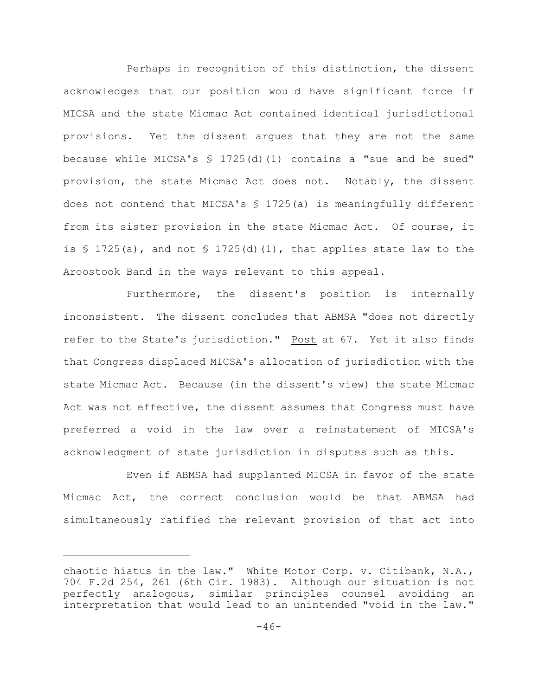Perhaps in recognition of this distinction, the dissent acknowledges that our position would have significant force if MICSA and the state Micmac Act contained identical jurisdictional provisions. Yet the dissent argues that they are not the same because while MICSA's § 1725(d)(1) contains a "sue and be sued" provision, the state Micmac Act does not. Notably, the dissent does not contend that MICSA's  $\frac{1}{2}$  1725(a) is meaningfully different from its sister provision in the state Micmac Act. Of course, it is  $\frac{1}{25}$  (a), and not  $\frac{1}{25}$  (d)(1), that applies state law to the Aroostook Band in the ways relevant to this appeal.

Furthermore, the dissent's position is internally inconsistent. The dissent concludes that ABMSA "does not directly refer to the State's jurisdiction." Post at 67. Yet it also finds that Congress displaced MICSA's allocation of jurisdiction with the state Micmac Act. Because (in the dissent's view) the state Micmac Act was not effective, the dissent assumes that Congress must have preferred a void in the law over a reinstatement of MICSA's acknowledgment of state jurisdiction in disputes such as this.

Even if ABMSA had supplanted MICSA in favor of the state Micmac Act, the correct conclusion would be that ABMSA had simultaneously ratified the relevant provision of that act into

chaotic hiatus in the law." White Motor Corp. v. Citibank, N.A., 704 F.2d 254, 261 (6th Cir. 1983). Although our situation is not perfectly analogous, similar principles counsel avoiding an interpretation that would lead to an unintended "void in the law."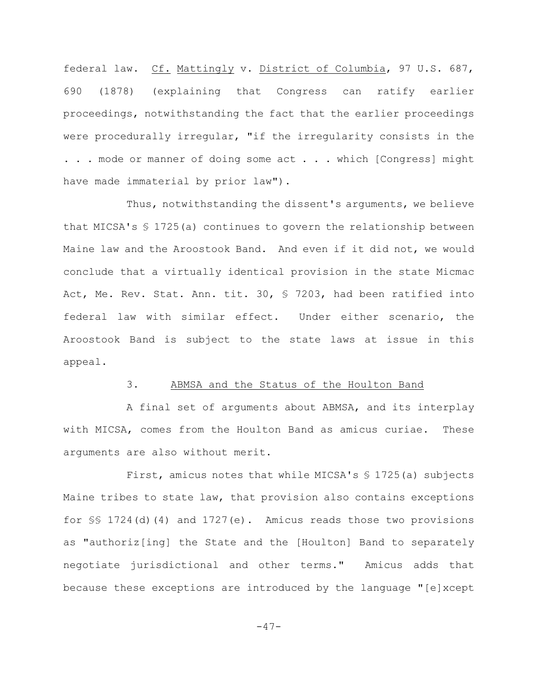federal law. Cf. Mattingly v. District of Columbia, 97 U.S. 687, 690 (1878) (explaining that Congress can ratify earlier proceedings, notwithstanding the fact that the earlier proceedings were procedurally irregular, "if the irregularity consists in the . . . mode or manner of doing some act . . . which [Congress] might have made immaterial by prior law").

Thus, notwithstanding the dissent's arguments, we believe that MICSA's  $$ 1725(a)$  continues to govern the relationship between Maine law and the Aroostook Band. And even if it did not, we would conclude that a virtually identical provision in the state Micmac Act, Me. Rev. Stat. Ann. tit. 30, § 7203, had been ratified into federal law with similar effect. Under either scenario, the Aroostook Band is subject to the state laws at issue in this appeal.

### 3. ABMSA and the Status of the Houlton Band

A final set of arguments about ABMSA, and its interplay with MICSA, comes from the Houlton Band as amicus curiae. These arguments are also without merit.

First, amicus notes that while MICSA's § 1725(a) subjects Maine tribes to state law, that provision also contains exceptions for §§ 1724(d)(4) and 1727(e). Amicus reads those two provisions as "authoriz[ing] the State and the [Houlton] Band to separately negotiate jurisdictional and other terms." Amicus adds that because these exceptions are introduced by the language "[e]xcept

 $-47-$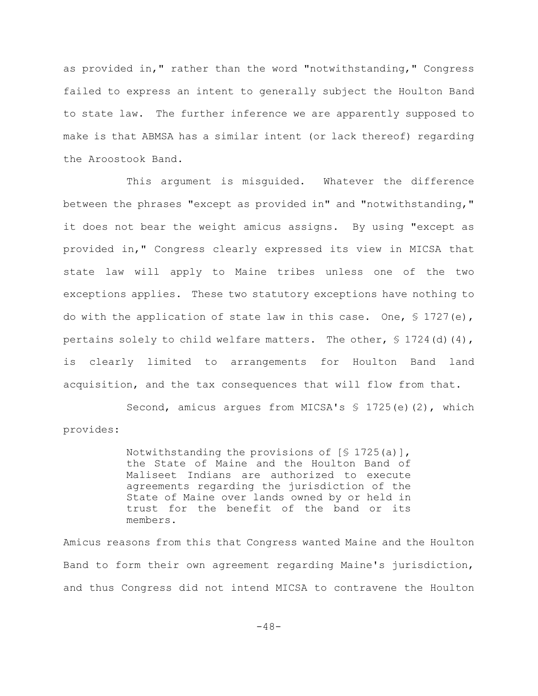as provided in," rather than the word "notwithstanding," Congress failed to express an intent to generally subject the Houlton Band to state law. The further inference we are apparently supposed to make is that ABMSA has a similar intent (or lack thereof) regarding the Aroostook Band.

This argument is misguided. Whatever the difference between the phrases "except as provided in" and "notwithstanding," it does not bear the weight amicus assigns. By using "except as provided in," Congress clearly expressed its view in MICSA that state law will apply to Maine tribes unless one of the two exceptions applies. These two statutory exceptions have nothing to do with the application of state law in this case. One,  $\frac{1}{2}$  1727(e), pertains solely to child welfare matters. The other,  $\frac{1}{2}$  1724(d)(4), is clearly limited to arrangements for Houlton Band land acquisition, and the tax consequences that will flow from that.

Second, amicus argues from MICSA's § 1725(e)(2), which provides:

> Notwithstanding the provisions of  $[$ 1725(a)]$ , the State of Maine and the Houlton Band of Maliseet Indians are authorized to execute agreements regarding the jurisdiction of the State of Maine over lands owned by or held in trust for the benefit of the band or its members.

Amicus reasons from this that Congress wanted Maine and the Houlton Band to form their own agreement regarding Maine's jurisdiction, and thus Congress did not intend MICSA to contravene the Houlton

-48-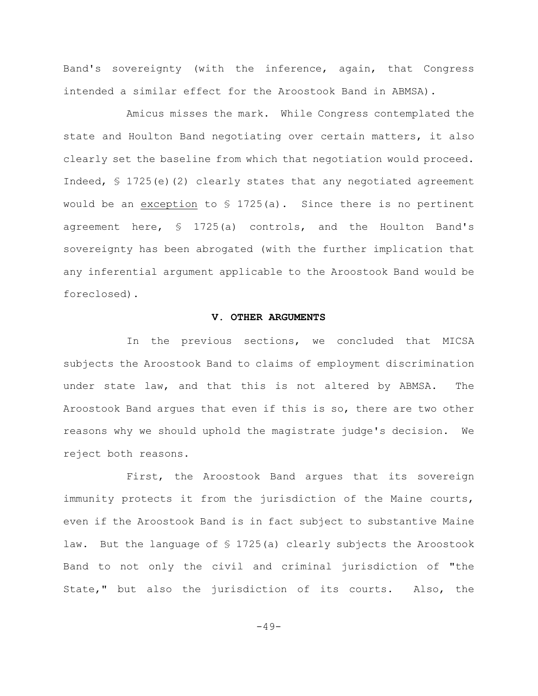Band's sovereignty (with the inference, again, that Congress intended a similar effect for the Aroostook Band in ABMSA).

Amicus misses the mark. While Congress contemplated the state and Houlton Band negotiating over certain matters, it also clearly set the baseline from which that negotiation would proceed. Indeed,  $\frac{1}{2}$  (2) clearly states that any negotiated agreement would be an exception to  $\frac{1725}{a}$ . Since there is no pertinent agreement here, § 1725(a) controls, and the Houlton Band's sovereignty has been abrogated (with the further implication that any inferential argument applicable to the Aroostook Band would be foreclosed).

## **V. OTHER ARGUMENTS**

In the previous sections, we concluded that MICSA subjects the Aroostook Band to claims of employment discrimination under state law, and that this is not altered by ABMSA. The Aroostook Band argues that even if this is so, there are two other reasons why we should uphold the magistrate judge's decision. We reject both reasons.

First, the Aroostook Band argues that its sovereign immunity protects it from the jurisdiction of the Maine courts, even if the Aroostook Band is in fact subject to substantive Maine law. But the language of § 1725(a) clearly subjects the Aroostook Band to not only the civil and criminal jurisdiction of "the State," but also the jurisdiction of its courts. Also, the

 $-49-$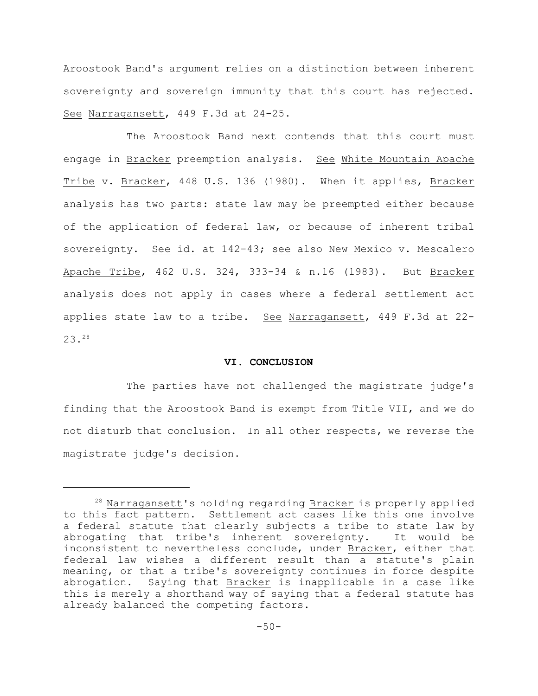Aroostook Band's argument relies on a distinction between inherent sovereignty and sovereign immunity that this court has rejected. See Narragansett, 449 F.3d at 24-25.

The Aroostook Band next contends that this court must engage in Bracker preemption analysis. See White Mountain Apache Tribe v. Bracker, 448 U.S. 136 (1980). When it applies, Bracker analysis has two parts: state law may be preempted either because of the application of federal law, or because of inherent tribal sovereignty. See id. at 142-43; see also New Mexico v. Mescalero Apache Tribe, 462 U.S. 324, 333-34 & n.16 (1983). But Bracker analysis does not apply in cases where a federal settlement act applies state law to a tribe. See Narragansett, 449 F.3d at 22- 23.<sup>28</sup>

## **VI. CONCLUSION**

The parties have not challenged the magistrate judge's finding that the Aroostook Band is exempt from Title VII, and we do not disturb that conclusion. In all other respects, we reverse the magistrate judge's decision.

 $28$  Narragansett's holding regarding Bracker is properly applied to this fact pattern. Settlement act cases like this one involve a federal statute that clearly subjects a tribe to state law by abrogating that tribe's inherent sovereignty. It would be inconsistent to nevertheless conclude, under Bracker, either that federal law wishes a different result than a statute's plain meaning, or that a tribe's sovereignty continues in force despite abrogation. Saying that Bracker is inapplicable in a case like this is merely a shorthand way of saying that a federal statute has already balanced the competing factors.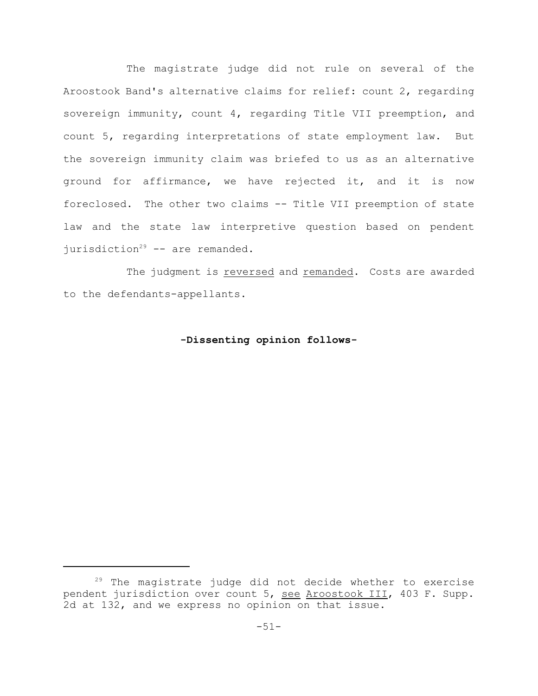The magistrate judge did not rule on several of the Aroostook Band's alternative claims for relief: count 2, regarding sovereign immunity, count 4, regarding Title VII preemption, and count 5, regarding interpretations of state employment law. But the sovereign immunity claim was briefed to us as an alternative ground for affirmance, we have rejected it, and it is now foreclosed. The other two claims -- Title VII preemption of state law and the state law interpretive question based on pendent jurisdiction<sup>29</sup> -- are remanded.

The judgment is reversed and remanded. Costs are awarded to the defendants-appellants.

# **-Dissenting opinion follows-**

 $29$  The magistrate judge did not decide whether to exercise pendent jurisdiction over count 5, see Aroostook III, 403 F. Supp. 2d at 132, and we express no opinion on that issue.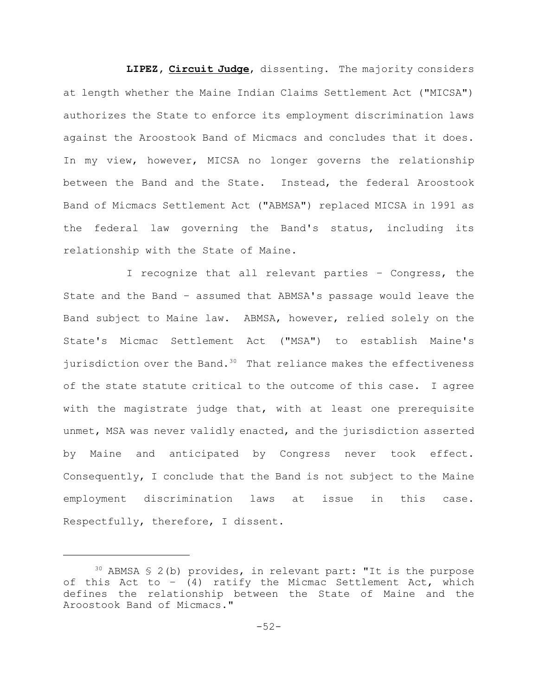**LIPEZ, Circuit Judge**, dissenting. The majority considers at length whether the Maine Indian Claims Settlement Act ("MICSA") authorizes the State to enforce its employment discrimination laws against the Aroostook Band of Micmacs and concludes that it does. In my view, however, MICSA no longer governs the relationship between the Band and the State. Instead, the federal Aroostook Band of Micmacs Settlement Act ("ABMSA") replaced MICSA in 1991 as the federal law governing the Band's status, including its relationship with the State of Maine.

I recognize that all relevant parties – Congress, the State and the Band – assumed that ABMSA's passage would leave the Band subject to Maine law. ABMSA, however, relied solely on the State's Micmac Settlement Act ("MSA") to establish Maine's jurisdiction over the Band. $30$  That reliance makes the effectiveness of the state statute critical to the outcome of this case. I agree with the magistrate judge that, with at least one prerequisite unmet, MSA was never validly enacted, and the jurisdiction asserted by Maine and anticipated by Congress never took effect. Consequently, I conclude that the Band is not subject to the Maine employment discrimination laws at issue in this case. Respectfully, therefore, I dissent.

 $30$  ABMSA § 2(b) provides, in relevant part: "It is the purpose of this Act to  $-$  (4) ratify the Micmac Settlement Act, which defines the relationship between the State of Maine and the Aroostook Band of Micmacs."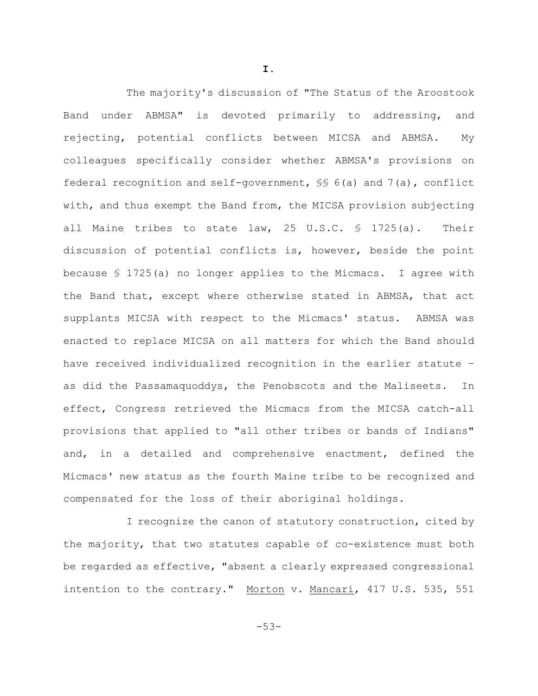The majority's discussion of "The Status of the Aroostook Band under ABMSA" is devoted primarily to addressing, and rejecting, potential conflicts between MICSA and ABMSA. My colleagues specifically consider whether ABMSA's provisions on federal recognition and self-government,  $\frac{1}{5}$  6(a) and 7(a), conflict with, and thus exempt the Band from, the MICSA provision subjecting all Maine tribes to state law, 25 U.S.C. § 1725(a). Their discussion of potential conflicts is, however, beside the point because § 1725(a) no longer applies to the Micmacs. I agree with the Band that, except where otherwise stated in ABMSA, that act supplants MICSA with respect to the Micmacs' status. ABMSA was enacted to replace MICSA on all matters for which the Band should have received individualized recognition in the earlier statute – as did the Passamaquoddys, the Penobscots and the Maliseets. In effect, Congress retrieved the Micmacs from the MICSA catch-all provisions that applied to "all other tribes or bands of Indians" and, in a detailed and comprehensive enactment, defined the Micmacs' new status as the fourth Maine tribe to be recognized and compensated for the loss of their aboriginal holdings.

I recognize the canon of statutory construction, cited by the majority, that two statutes capable of co-existence must both be regarded as effective, "absent a clearly expressed congressional intention to the contrary." Morton v. Mancari, 417 U.S. 535, 551

**I.**

-53-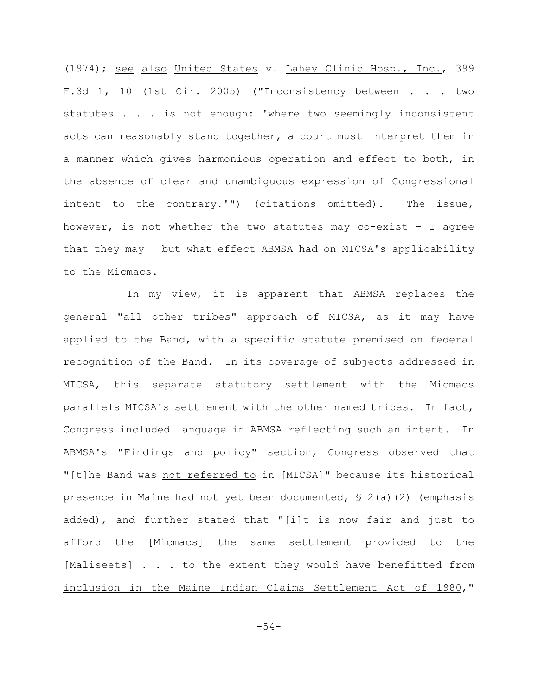(1974); see also United States v. Lahey Clinic Hosp., Inc., 399 F.3d 1, 10 (1st Cir. 2005) ("Inconsistency between . . . two statutes . . . is not enough: 'where two seemingly inconsistent acts can reasonably stand together, a court must interpret them in a manner which gives harmonious operation and effect to both, in the absence of clear and unambiguous expression of Congressional intent to the contrary.'") (citations omitted). The issue, however, is not whether the two statutes may co-exist – I agree that they may – but what effect ABMSA had on MICSA's applicability to the Micmacs.

In my view, it is apparent that ABMSA replaces the general "all other tribes" approach of MICSA, as it may have applied to the Band, with a specific statute premised on federal recognition of the Band. In its coverage of subjects addressed in MICSA, this separate statutory settlement with the Micmacs parallels MICSA's settlement with the other named tribes. In fact, Congress included language in ABMSA reflecting such an intent. In ABMSA's "Findings and policy" section, Congress observed that "[t]he Band was not referred to in [MICSA]" because its historical presence in Maine had not yet been documented, § 2(a)(2) (emphasis added), and further stated that "[i]t is now fair and just to afford the [Micmacs] the same settlement provided to the [Maliseets] . . . to the extent they would have benefitted from inclusion in the Maine Indian Claims Settlement Act of 1980,"

-54-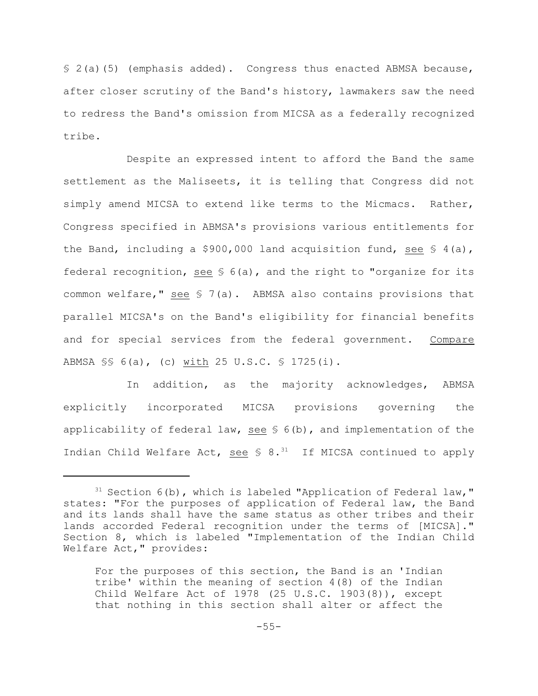§ 2(a)(5) (emphasis added). Congress thus enacted ABMSA because, after closer scrutiny of the Band's history, lawmakers saw the need to redress the Band's omission from MICSA as a federally recognized tribe.

 Despite an expressed intent to afford the Band the same settlement as the Maliseets, it is telling that Congress did not simply amend MICSA to extend like terms to the Micmacs. Rather, Congress specified in ABMSA's provisions various entitlements for the Band, including a  $$900,000$  land acquisition fund, see  $$4(a)$ , federal recognition, see  $S$  6(a), and the right to "organize for its common welfare," see  $\frac{1}{2}$  7(a). ABMSA also contains provisions that parallel MICSA's on the Band's eligibility for financial benefits and for special services from the federal government. Compare ABMSA §§ 6(a), (c) with 25 U.S.C. § 1725(i).

In addition, as the majority acknowledges, ABMSA explicitly incorporated MICSA provisions governing the applicability of federal law, see  $S$  6(b), and implementation of the Indian Child Welfare Act, see  $\frac{1}{5}$  8.<sup>31</sup> If MICSA continued to apply

 $31$  Section 6(b), which is labeled "Application of Federal law," states: "For the purposes of application of Federal law, the Band and its lands shall have the same status as other tribes and their lands accorded Federal recognition under the terms of [MICSA]." Section 8, which is labeled "Implementation of the Indian Child Welfare Act," provides:

For the purposes of this section, the Band is an 'Indian tribe' within the meaning of section 4(8) of the Indian Child Welfare Act of 1978 (25 U.S.C. 1903(8)), except that nothing in this section shall alter or affect the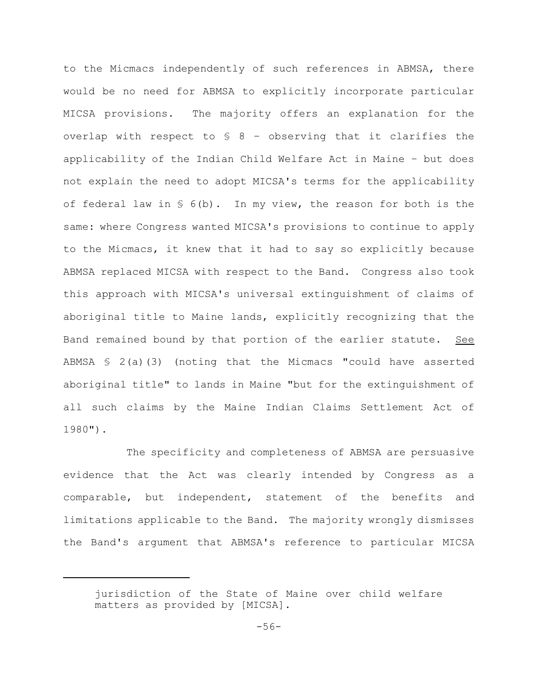to the Micmacs independently of such references in ABMSA, there would be no need for ABMSA to explicitly incorporate particular MICSA provisions. The majority offers an explanation for the overlap with respect to  $S$  8 - observing that it clarifies the applicability of the Indian Child Welfare Act in Maine – but does not explain the need to adopt MICSA's terms for the applicability of federal law in  $S$  6(b). In my view, the reason for both is the same: where Congress wanted MICSA's provisions to continue to apply to the Micmacs, it knew that it had to say so explicitly because ABMSA replaced MICSA with respect to the Band. Congress also took this approach with MICSA's universal extinguishment of claims of aboriginal title to Maine lands, explicitly recognizing that the Band remained bound by that portion of the earlier statute. See ABMSA § 2(a)(3) (noting that the Micmacs "could have asserted aboriginal title" to lands in Maine "but for the extinguishment of all such claims by the Maine Indian Claims Settlement Act of 1980").

The specificity and completeness of ABMSA are persuasive evidence that the Act was clearly intended by Congress as a comparable, but independent, statement of the benefits and limitations applicable to the Band. The majority wrongly dismisses the Band's argument that ABMSA's reference to particular MICSA

jurisdiction of the State of Maine over child welfare matters as provided by [MICSA].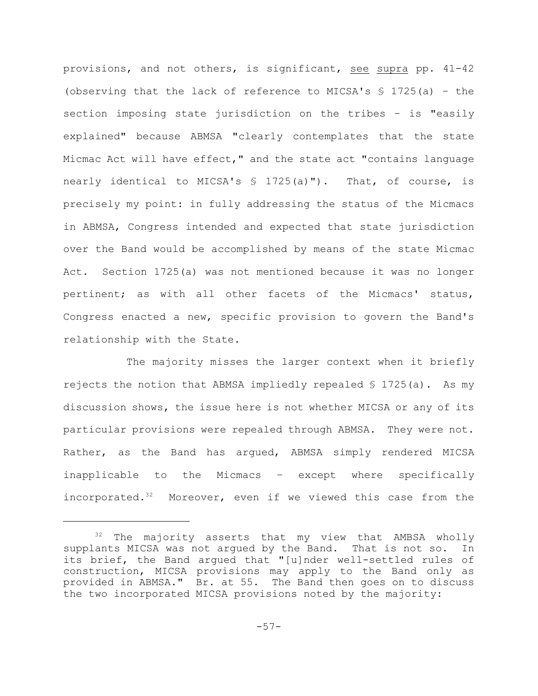provisions, and not others, is significant, see supra pp. 41-42 (observing that the lack of reference to MICSA's  $\frac{1}{2}$  1725(a) - the section imposing state jurisdiction on the tribes – is "easily explained" because ABMSA "clearly contemplates that the state Micmac Act will have effect," and the state act "contains language nearly identical to MICSA's  $\frac{1}{2}$  1725(a)"). That, of course, is precisely my point: in fully addressing the status of the Micmacs in ABMSA, Congress intended and expected that state jurisdiction over the Band would be accomplished by means of the state Micmac Act. Section 1725(a) was not mentioned because it was no longer pertinent; as with all other facets of the Micmacs' status, Congress enacted a new, specific provision to govern the Band's relationship with the State.

The majority misses the larger context when it briefly rejects the notion that ABMSA impliedly repealed  $\frac{1}{5}$  1725(a). As my discussion shows, the issue here is not whether MICSA or any of its particular provisions were repealed through ABMSA. They were not. Rather, as the Band has argued, ABMSA simply rendered MICSA inapplicable to the Micmacs – except where specifically incorporated. $32$  Moreover, even if we viewed this case from the

The majority asserts that my view that AMBSA wholly supplants MICSA was not argued by the Band. That is not so. In its brief, the Band argued that "[u]nder well-settled rules of construction, MICSA provisions may apply to the Band only as provided in ABMSA." Br. at 55. The Band then goes on to discuss the two incorporated MICSA provisions noted by the majority: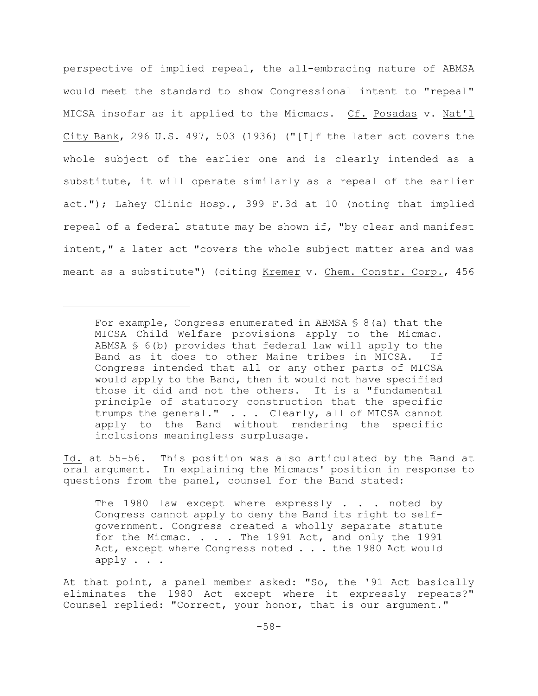perspective of implied repeal, the all-embracing nature of ABMSA would meet the standard to show Congressional intent to "repeal" MICSA insofar as it applied to the Micmacs. Cf. Posadas v. Nat'l City Bank, 296 U.S. 497, 503 (1936) ("[I]f the later act covers the whole subject of the earlier one and is clearly intended as a substitute, it will operate similarly as a repeal of the earlier act."); Lahey Clinic Hosp., 399 F.3d at 10 (noting that implied repeal of a federal statute may be shown if, "by clear and manifest intent," a later act "covers the whole subject matter area and was meant as a substitute") (citing Kremer v. Chem. Constr. Corp., 456

Id. at 55-56. This position was also articulated by the Band at oral argument. In explaining the Micmacs' position in response to questions from the panel, counsel for the Band stated:

The 1980 law except where expressly  $\ldots$  noted by Congress cannot apply to deny the Band its right to selfgovernment. Congress created a wholly separate statute for the Micmac. . . . The 1991 Act, and only the 1991 Act, except where Congress noted . . . the 1980 Act would apply . . .

At that point, a panel member asked: "So, the '91 Act basically eliminates the 1980 Act except where it expressly repeats?" Counsel replied: "Correct, your honor, that is our argument."

For example, Congress enumerated in ABMSA  $S$  8(a) that the MICSA Child Welfare provisions apply to the Micmac. ABMSA § 6(b) provides that federal law will apply to the Band as it does to other Maine tribes in MICSA. If Congress intended that all or any other parts of MICSA would apply to the Band, then it would not have specified those it did and not the others. It is a "fundamental principle of statutory construction that the specific trumps the general." . . . Clearly, all of MICSA cannot apply to the Band without rendering the specific inclusions meaningless surplusage.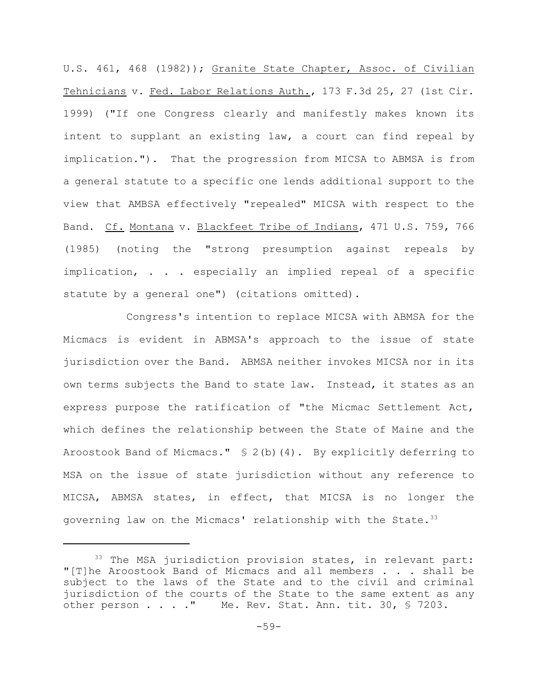U.S. 461, 468 (1982)); Granite State Chapter, Assoc. of Civilian Tehnicians v. Fed. Labor Relations Auth., 173 F.3d 25, 27 (1st Cir. 1999) ("If one Congress clearly and manifestly makes known its intent to supplant an existing law, a court can find repeal by implication."). That the progression from MICSA to ABMSA is from a general statute to a specific one lends additional support to the view that AMBSA effectively "repealed" MICSA with respect to the Band. Cf. Montana v. Blackfeet Tribe of Indians, 471 U.S. 759, 766 (1985) (noting the "strong presumption against repeals by implication, . . . especially an implied repeal of a specific statute by a general one") (citations omitted).

Congress's intention to replace MICSA with ABMSA for the Micmacs is evident in ABMSA's approach to the issue of state jurisdiction over the Band. ABMSA neither invokes MICSA nor in its own terms subjects the Band to state law. Instead, it states as an express purpose the ratification of "the Micmac Settlement Act, which defines the relationship between the State of Maine and the Aroostook Band of Micmacs." § 2(b)(4). By explicitly deferring to MSA on the issue of state jurisdiction without any reference to MICSA, ABMSA states, in effect, that MICSA is no longer the governing law on the Micmacs' relationship with the State.<sup>33</sup>

 $33$  The MSA jurisdiction provision states, in relevant part: "[T]he Aroostook Band of Micmacs and all members . . . shall be subject to the laws of the State and to the civil and criminal jurisdiction of the courts of the State to the same extent as any other person . . . ." Me. Rev. Stat. Ann. tit. 30, § 7203.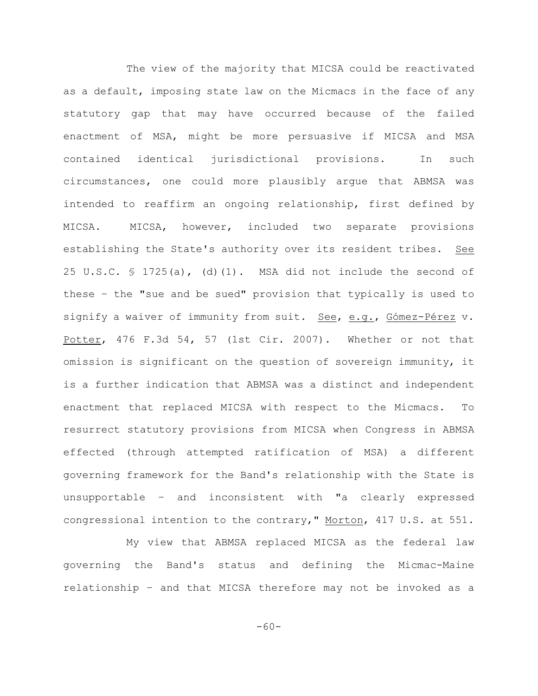The view of the majority that MICSA could be reactivated as a default, imposing state law on the Micmacs in the face of any statutory gap that may have occurred because of the failed enactment of MSA, might be more persuasive if MICSA and MSA contained identical jurisdictional provisions. In such circumstances, one could more plausibly argue that ABMSA was intended to reaffirm an ongoing relationship, first defined by MICSA. MICSA, however, included two separate provisions establishing the State's authority over its resident tribes. See 25 U.S.C.  $\frac{1}{25}$  1725(a), (d)(1). MSA did not include the second of these – the "sue and be sued" provision that typically is used to signify a waiver of immunity from suit. See, e.g., Gómez-Pérez v. Potter, 476 F.3d 54, 57 (1st Cir. 2007). Whether or not that omission is significant on the question of sovereign immunity, it is a further indication that ABMSA was a distinct and independent enactment that replaced MICSA with respect to the Micmacs. To resurrect statutory provisions from MICSA when Congress in ABMSA effected (through attempted ratification of MSA) a different governing framework for the Band's relationship with the State is unsupportable – and inconsistent with "a clearly expressed congressional intention to the contrary," Morton, 417 U.S. at 551.

My view that ABMSA replaced MICSA as the federal law governing the Band's status and defining the Micmac-Maine relationship – and that MICSA therefore may not be invoked as a

-60-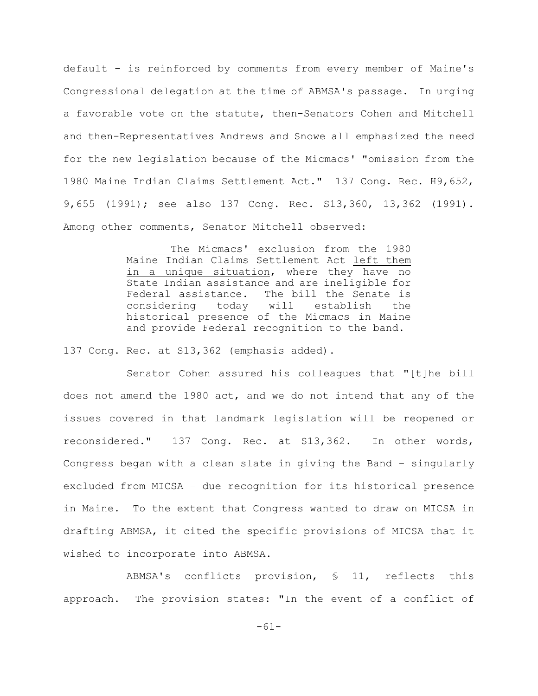default – is reinforced by comments from every member of Maine's Congressional delegation at the time of ABMSA's passage. In urging a favorable vote on the statute, then-Senators Cohen and Mitchell and then-Representatives Andrews and Snowe all emphasized the need for the new legislation because of the Micmacs' "omission from the 1980 Maine Indian Claims Settlement Act." 137 Cong. Rec. H9,652, 9,655 (1991); see also 137 Cong. Rec. S13,360, 13,362 (1991). Among other comments, Senator Mitchell observed:

> The Micmacs' exclusion from the 1980 Maine Indian Claims Settlement Act left them in a unique situation, where they have no State Indian assistance and are ineligible for Federal assistance. The bill the Senate is considering today will establish the historical presence of the Micmacs in Maine and provide Federal recognition to the band.

137 Cong. Rec. at S13,362 (emphasis added).

Senator Cohen assured his colleagues that "[t]he bill does not amend the 1980 act, and we do not intend that any of the issues covered in that landmark legislation will be reopened or reconsidered." 137 Cong. Rec. at S13,362. In other words, Congress began with a clean slate in giving the Band – singularly excluded from MICSA – due recognition for its historical presence in Maine. To the extent that Congress wanted to draw on MICSA in drafting ABMSA, it cited the specific provisions of MICSA that it wished to incorporate into ABMSA.

ABMSA's conflicts provision, § 11, reflects this approach. The provision states: "In the event of a conflict of

-61-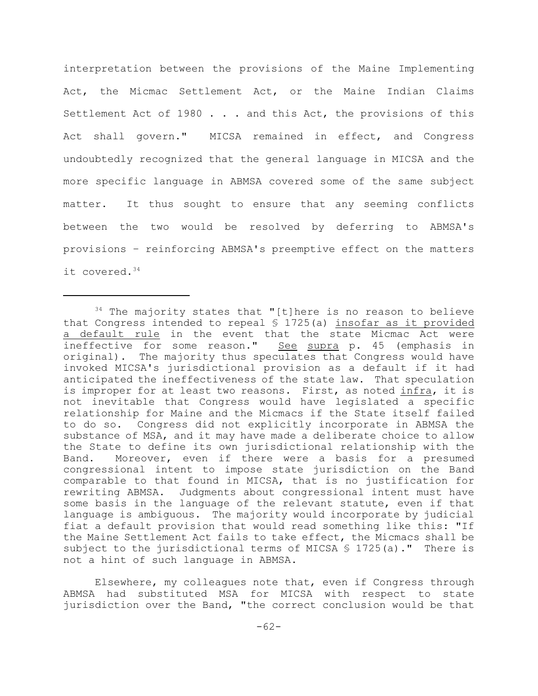interpretation between the provisions of the Maine Implementing Act, the Micmac Settlement Act, or the Maine Indian Claims Settlement Act of 1980 . . . and this Act, the provisions of this Act shall govern." MICSA remained in effect, and Congress undoubtedly recognized that the general language in MICSA and the more specific language in ABMSA covered some of the same subject matter. It thus sought to ensure that any seeming conflicts between the two would be resolved by deferring to ABMSA's provisions – reinforcing ABMSA's preemptive effect on the matters it covered.34

 $34$  The majority states that "[t]here is no reason to believe that Congress intended to repeal  $\frac{1}{2}$  1725(a) insofar as it provided a default rule in the event that the state Micmac Act were ineffective for some reason." See supra p. 45 (emphasis in original). The majority thus speculates that Congress would have invoked MICSA's jurisdictional provision as a default if it had anticipated the ineffectiveness of the state law. That speculation is improper for at least two reasons. First, as noted infra, it is not inevitable that Congress would have legislated a specific relationship for Maine and the Micmacs if the State itself failed to do so. Congress did not explicitly incorporate in ABMSA the substance of MSA, and it may have made a deliberate choice to allow the State to define its own jurisdictional relationship with the Band. Moreover, even if there were a basis for a presumed congressional intent to impose state jurisdiction on the Band comparable to that found in MICSA, that is no justification for rewriting ABMSA. Judgments about congressional intent must have some basis in the language of the relevant statute, even if that language is ambiguous. The majority would incorporate by judicial fiat a default provision that would read something like this: "If the Maine Settlement Act fails to take effect, the Micmacs shall be subject to the jurisdictional terms of MICSA  $\frac{1}{2}$  1725(a)." There is not a hint of such language in ABMSA.

Elsewhere, my colleagues note that, even if Congress through ABMSA had substituted MSA for MICSA with respect to state jurisdiction over the Band, "the correct conclusion would be that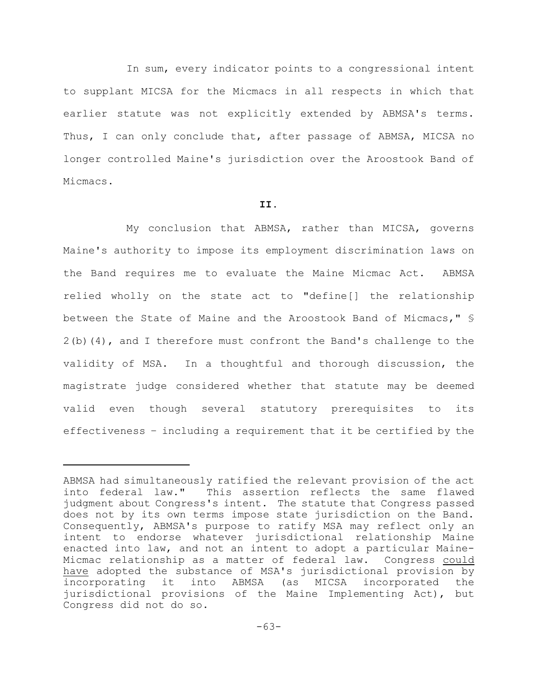In sum, every indicator points to a congressional intent to supplant MICSA for the Micmacs in all respects in which that earlier statute was not explicitly extended by ABMSA's terms. Thus, I can only conclude that, after passage of ABMSA, MICSA no longer controlled Maine's jurisdiction over the Aroostook Band of Micmacs.

# **II.**

My conclusion that ABMSA, rather than MICSA, governs Maine's authority to impose its employment discrimination laws on the Band requires me to evaluate the Maine Micmac Act. ABMSA relied wholly on the state act to "define[] the relationship between the State of Maine and the Aroostook Band of Micmacs," §  $2(b)(4)$ , and I therefore must confront the Band's challenge to the validity of MSA. In a thoughtful and thorough discussion, the magistrate judge considered whether that statute may be deemed valid even though several statutory prerequisites to its effectiveness – including a requirement that it be certified by the

ABMSA had simultaneously ratified the relevant provision of the act into federal law." This assertion reflects the same flawed judgment about Congress's intent. The statute that Congress passed does not by its own terms impose state jurisdiction on the Band. Consequently, ABMSA's purpose to ratify MSA may reflect only an intent to endorse whatever jurisdictional relationship Maine enacted into law, and not an intent to adopt a particular Maine-Micmac relationship as a matter of federal law. Congress could have adopted the substance of MSA's jurisdictional provision by incorporating it into ABMSA (as MICSA incorporated the jurisdictional provisions of the Maine Implementing Act), but Congress did not do so.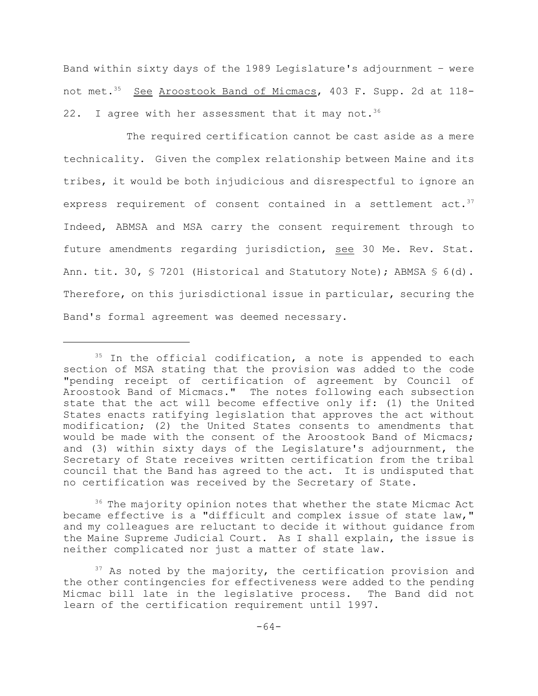Band within sixty days of the 1989 Legislature's adjournment – were not met.<sup>35</sup> See Aroostook Band of Micmacs, 403 F. Supp. 2d at 118-22. I agree with her assessment that it may not.  $36$ 

The required certification cannot be cast aside as a mere technicality. Given the complex relationship between Maine and its tribes, it would be both injudicious and disrespectful to ignore an express requirement of consent contained in a settlement act.<sup>37</sup> Indeed, ABMSA and MSA carry the consent requirement through to future amendments regarding jurisdiction, see 30 Me. Rev. Stat. Ann. tit. 30,  $\S$  7201 (Historical and Statutory Note); ABMSA  $\S$  6(d). Therefore, on this jurisdictional issue in particular, securing the Band's formal agreement was deemed necessary.

 $36$  The majority opinion notes that whether the state Micmac Act became effective is a "difficult and complex issue of state law," and my colleagues are reluctant to decide it without guidance from the Maine Supreme Judicial Court. As I shall explain, the issue is neither complicated nor just a matter of state law.

 $35$  In the official codification, a note is appended to each section of MSA stating that the provision was added to the code "pending receipt of certification of agreement by Council of Aroostook Band of Micmacs." The notes following each subsection state that the act will become effective only if: (1) the United States enacts ratifying legislation that approves the act without modification; (2) the United States consents to amendments that would be made with the consent of the Aroostook Band of Micmacs; and (3) within sixty days of the Legislature's adjournment, the Secretary of State receives written certification from the tribal council that the Band has agreed to the act. It is undisputed that no certification was received by the Secretary of State.

 $37$  As noted by the majority, the certification provision and the other contingencies for effectiveness were added to the pending Micmac bill late in the legislative process. The Band did not learn of the certification requirement until 1997.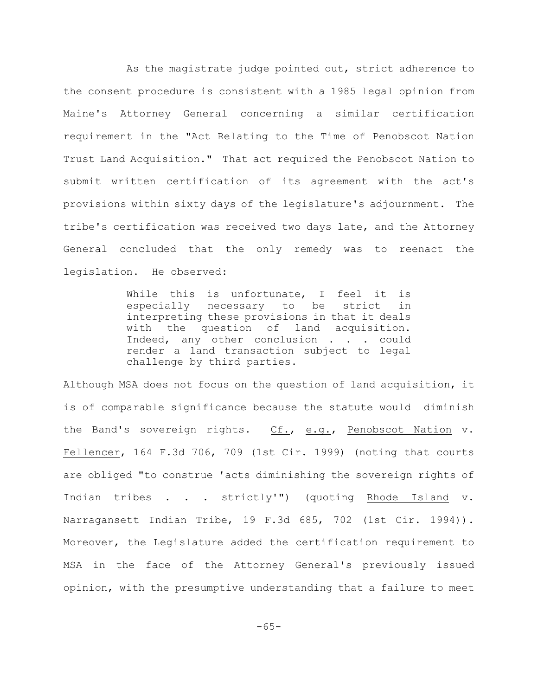As the magistrate judge pointed out, strict adherence to the consent procedure is consistent with a 1985 legal opinion from Maine's Attorney General concerning a similar certification requirement in the "Act Relating to the Time of Penobscot Nation Trust Land Acquisition." That act required the Penobscot Nation to submit written certification of its agreement with the act's provisions within sixty days of the legislature's adjournment. The tribe's certification was received two days late, and the Attorney General concluded that the only remedy was to reenact the legislation. He observed:

> While this is unfortunate, I feel it is especially necessary to be strict in interpreting these provisions in that it deals with the question of land acquisition. Indeed, any other conclusion . . . could render a land transaction subject to legal challenge by third parties.

Although MSA does not focus on the question of land acquisition, it is of comparable significance because the statute would diminish the Band's sovereign rights. Cf., e.g., Penobscot Nation v. Fellencer, 164 F.3d 706, 709 (1st Cir. 1999) (noting that courts are obliged "to construe 'acts diminishing the sovereign rights of Indian tribes . . . strictly'") (quoting Rhode Island v. Narragansett Indian Tribe, 19 F.3d 685, 702 (1st Cir. 1994)). Moreover, the Legislature added the certification requirement to MSA in the face of the Attorney General's previously issued opinion, with the presumptive understanding that a failure to meet

-65-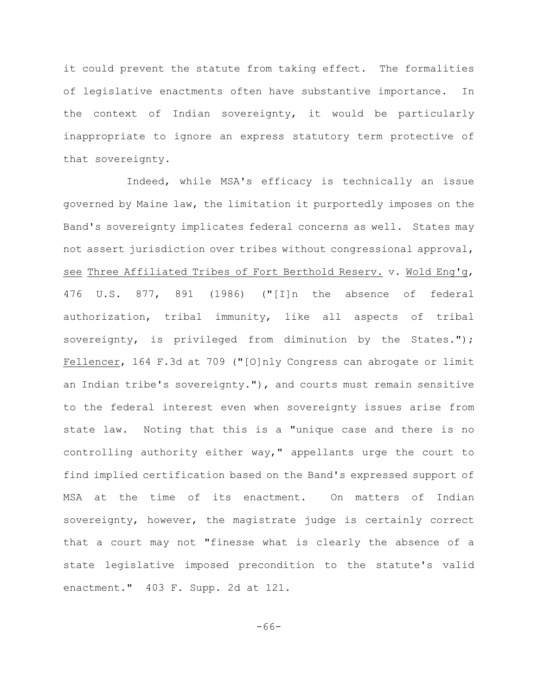it could prevent the statute from taking effect. The formalities of legislative enactments often have substantive importance. In the context of Indian sovereignty, it would be particularly inappropriate to ignore an express statutory term protective of that sovereignty.

Indeed, while MSA's efficacy is technically an issue governed by Maine law, the limitation it purportedly imposes on the Band's sovereignty implicates federal concerns as well. States may not assert jurisdiction over tribes without congressional approval, see Three Affiliated Tribes of Fort Berthold Reserv. v. Wold Eng'g, 476 U.S. 877, 891 (1986) ("[I]n the absence of federal authorization, tribal immunity, like all aspects of tribal sovereignty, is privileged from diminution by the States."); Fellencer, 164 F.3d at 709 ("[O]nly Congress can abrogate or limit an Indian tribe's sovereignty."), and courts must remain sensitive to the federal interest even when sovereignty issues arise from state law. Noting that this is a "unique case and there is no controlling authority either way," appellants urge the court to find implied certification based on the Band's expressed support of MSA at the time of its enactment. On matters of Indian sovereignty, however, the magistrate judge is certainly correct that a court may not "finesse what is clearly the absence of a state legislative imposed precondition to the statute's valid enactment." 403 F. Supp. 2d at 121.

-66-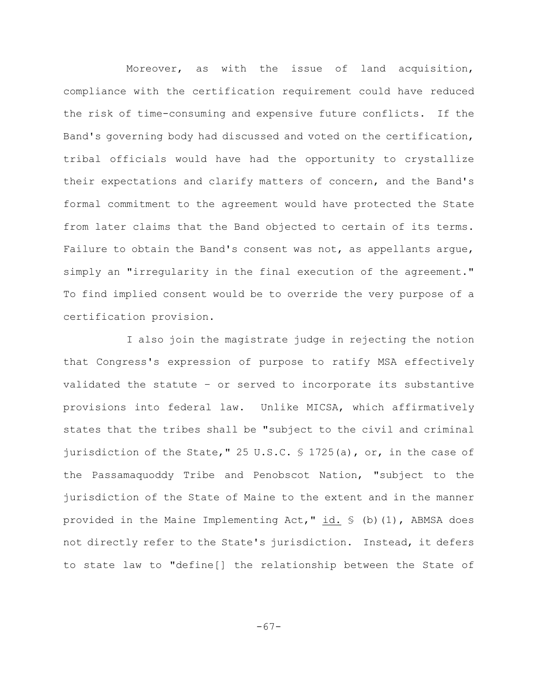Moreover, as with the issue of land acquisition, compliance with the certification requirement could have reduced the risk of time-consuming and expensive future conflicts. If the Band's governing body had discussed and voted on the certification, tribal officials would have had the opportunity to crystallize their expectations and clarify matters of concern, and the Band's formal commitment to the agreement would have protected the State from later claims that the Band objected to certain of its terms. Failure to obtain the Band's consent was not, as appellants argue, simply an "irregularity in the final execution of the agreement." To find implied consent would be to override the very purpose of a certification provision.

I also join the magistrate judge in rejecting the notion that Congress's expression of purpose to ratify MSA effectively validated the statute – or served to incorporate its substantive provisions into federal law. Unlike MICSA, which affirmatively states that the tribes shall be "subject to the civil and criminal jurisdiction of the State," 25 U.S.C.  $\frac{1725(a)}{a}$ , or, in the case of the Passamaquoddy Tribe and Penobscot Nation, "subject to the jurisdiction of the State of Maine to the extent and in the manner provided in the Maine Implementing Act,"  $id.$   $\frac{1}{10}$  (b)(1), ABMSA does not directly refer to the State's jurisdiction. Instead, it defers to state law to "define[] the relationship between the State of

-67-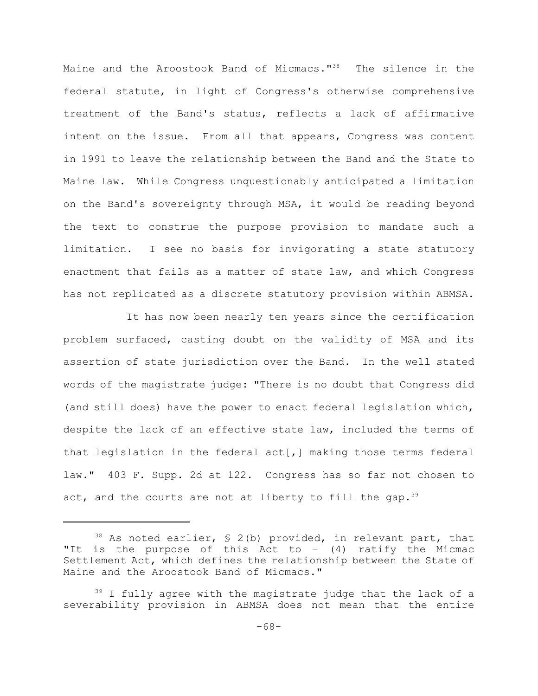Maine and the Aroostook Band of Micmacs."<sup>38</sup> The silence in the federal statute, in light of Congress's otherwise comprehensive treatment of the Band's status, reflects a lack of affirmative intent on the issue. From all that appears, Congress was content in 1991 to leave the relationship between the Band and the State to Maine law. While Congress unquestionably anticipated a limitation on the Band's sovereignty through MSA, it would be reading beyond the text to construe the purpose provision to mandate such a limitation. I see no basis for invigorating a state statutory enactment that fails as a matter of state law, and which Congress has not replicated as a discrete statutory provision within ABMSA.

It has now been nearly ten years since the certification problem surfaced, casting doubt on the validity of MSA and its assertion of state jurisdiction over the Band. In the well stated words of the magistrate judge: "There is no doubt that Congress did (and still does) have the power to enact federal legislation which, despite the lack of an effective state law, included the terms of that legislation in the federal act[,] making those terms federal law." 403 F. Supp. 2d at 122. Congress has so far not chosen to act, and the courts are not at liberty to fill the gap.<sup>39</sup>

 $38$  As noted earlier, § 2(b) provided, in relevant part, that "It is the purpose of this Act to  $-$  (4) ratify the Micmac Settlement Act, which defines the relationship between the State of Maine and the Aroostook Band of Micmacs."

 $39$  I fully agree with the magistrate judge that the lack of a severability provision in ABMSA does not mean that the entire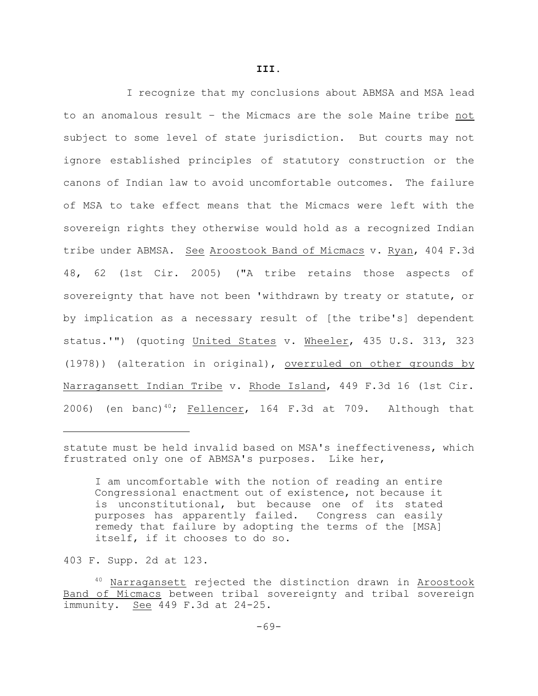I recognize that my conclusions about ABMSA and MSA lead

**III.**

to an anomalous result – the Micmacs are the sole Maine tribe not subject to some level of state jurisdiction. But courts may not ignore established principles of statutory construction or the canons of Indian law to avoid uncomfortable outcomes. The failure of MSA to take effect means that the Micmacs were left with the sovereign rights they otherwise would hold as a recognized Indian tribe under ABMSA. See Aroostook Band of Micmacs v. Ryan, 404 F.3d 48, 62 (1st Cir. 2005) ("A tribe retains those aspects of sovereignty that have not been 'withdrawn by treaty or statute, or by implication as a necessary result of [the tribe's] dependent status.'") (quoting United States v. Wheeler, 435 U.S. 313, 323 (1978)) (alteration in original), overruled on other grounds by Narragansett Indian Tribe v. Rhode Island, 449 F.3d 16 (1st Cir. 2006) (en banc)<sup>40</sup>; Fellencer, 164 F.3d at 709. Although that

statute must be held invalid based on MSA's ineffectiveness, which frustrated only one of ABMSA's purposes. Like her,

I am uncomfortable with the notion of reading an entire Congressional enactment out of existence, not because it is unconstitutional, but because one of its stated purposes has apparently failed. Congress can easily remedy that failure by adopting the terms of the [MSA] itself, if it chooses to do so.

403 F. Supp. 2d at 123.

 $40$  Narragansett rejected the distinction drawn in Aroostook Band of Micmacs between tribal sovereignty and tribal sovereign immunity. See 449 F.3d at 24-25.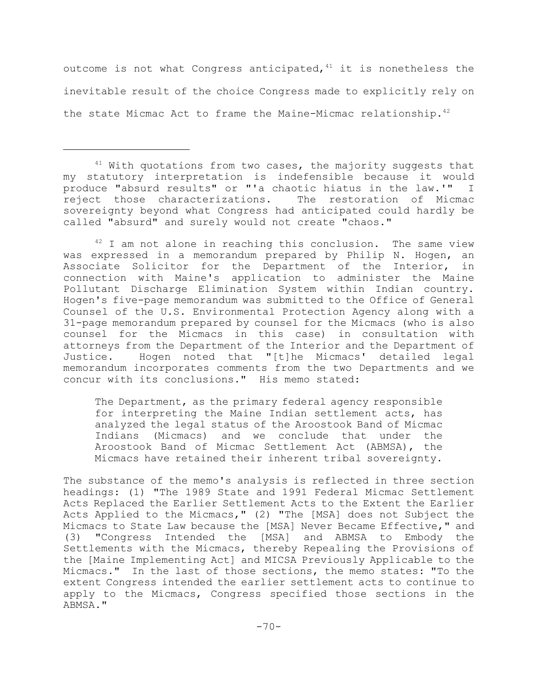outcome is not what Congress anticipated,  $41$  it is nonetheless the inevitable result of the choice Congress made to explicitly rely on the state Micmac Act to frame the Maine-Micmac relationship.<sup>42</sup>

 $42$  I am not alone in reaching this conclusion. The same view was expressed in a memorandum prepared by Philip N. Hogen, an Associate Solicitor for the Department of the Interior, in connection with Maine's application to administer the Maine Pollutant Discharge Elimination System within Indian country. Hogen's five-page memorandum was submitted to the Office of General Counsel of the U.S. Environmental Protection Agency along with a 31-page memorandum prepared by counsel for the Micmacs (who is also counsel for the Micmacs in this case) in consultation with attorneys from the Department of the Interior and the Department of Justice. Hogen noted that "[t]he Micmacs' detailed legal memorandum incorporates comments from the two Departments and we concur with its conclusions." His memo stated:

The Department, as the primary federal agency responsible for interpreting the Maine Indian settlement acts, has analyzed the legal status of the Aroostook Band of Micmac Indians (Micmacs) and we conclude that under the Aroostook Band of Micmac Settlement Act (ABMSA), the Micmacs have retained their inherent tribal sovereignty.

The substance of the memo's analysis is reflected in three section headings: (1) "The 1989 State and 1991 Federal Micmac Settlement Acts Replaced the Earlier Settlement Acts to the Extent the Earlier Acts Applied to the Micmacs," (2) "The [MSA] does not Subject the Micmacs to State Law because the [MSA] Never Became Effective," and (3) "Congress Intended the [MSA] and ABMSA to Embody the Settlements with the Micmacs, thereby Repealing the Provisions of the [Maine Implementing Act] and MICSA Previously Applicable to the Micmacs." In the last of those sections, the memo states: "To the extent Congress intended the earlier settlement acts to continue to apply to the Micmacs, Congress specified those sections in the ABMSA."

 $41$  With quotations from two cases, the majority suggests that my statutory interpretation is indefensible because it would produce "absurd results" or "'a chaotic hiatus in the law.'" I reject those characterizations. The restoration of Micmac sovereignty beyond what Congress had anticipated could hardly be called "absurd" and surely would not create "chaos."